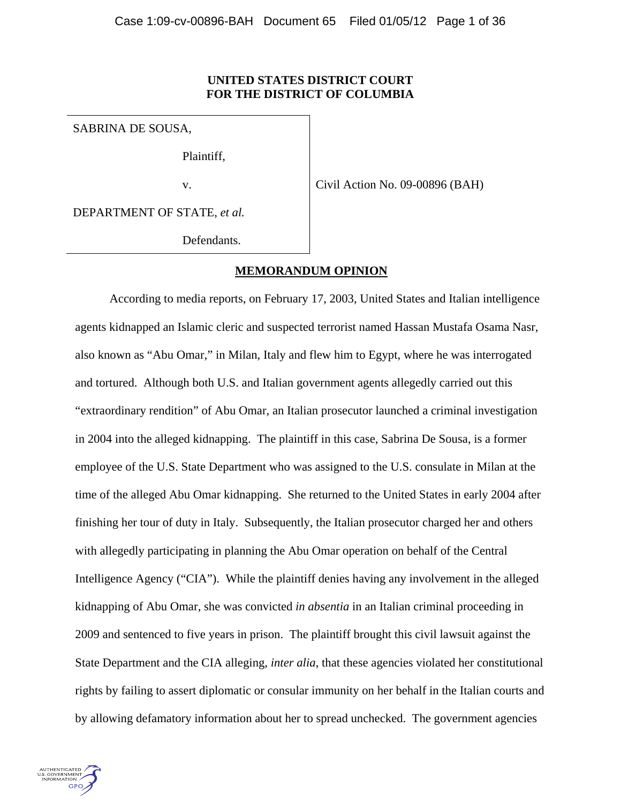## **UNITED STATES DISTRICT COURT FOR THE DISTRICT OF COLUMBIA**

SABRINA DE SOUSA,

Plaintiff,

v.

Civil Action No. 09-00896 (BAH)

DEPARTMENT OF STATE, *et al.*

Defendants.

### **MEMORANDUM OPINION**

According to media reports, on February 17, 2003, United States and Italian intelligence agents kidnapped an Islamic cleric and suspected terrorist named Hassan Mustafa Osama Nasr, also known as "Abu Omar," in Milan, Italy and flew him to Egypt, where he was interrogated and tortured. Although both U.S. and Italian government agents allegedly carried out this "extraordinary rendition" of Abu Omar, an Italian prosecutor launched a criminal investigation in 2004 into the alleged kidnapping. The plaintiff in this case, Sabrina De Sousa, is a former employee of the U.S. State Department who was assigned to the U.S. consulate in Milan at the time of the alleged Abu Omar kidnapping. She returned to the United States in early 2004 after finishing her tour of duty in Italy. Subsequently, the Italian prosecutor charged her and others with allegedly participating in planning the Abu Omar operation on behalf of the Central Intelligence Agency ("CIA"). While the plaintiff denies having any involvement in the alleged kidnapping of Abu Omar, she was convicted *in absentia* in an Italian criminal proceeding in 2009 and sentenced to five years in prison. The plaintiff brought this civil lawsuit against the State Department and the CIA alleging, *inter alia*, that these agencies violated her constitutional rights by failing to assert diplomatic or consular immunity on her behalf in the Italian courts and by allowing defamatory information about her to spread unchecked. The government agencies

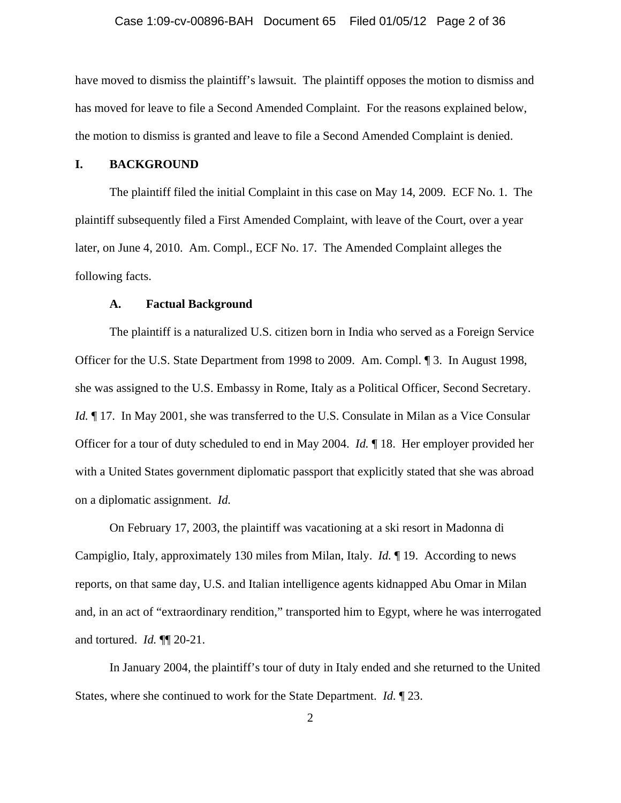### Case 1:09-cv-00896-BAH Document 65 Filed 01/05/12 Page 2 of 36

have moved to dismiss the plaintiff's lawsuit. The plaintiff opposes the motion to dismiss and has moved for leave to file a Second Amended Complaint. For the reasons explained below, the motion to dismiss is granted and leave to file a Second Amended Complaint is denied.

## **I. BACKGROUND**

 The plaintiff filed the initial Complaint in this case on May 14, 2009. ECF No. 1. The plaintiff subsequently filed a First Amended Complaint, with leave of the Court, over a year later, on June 4, 2010. Am. Compl., ECF No. 17. The Amended Complaint alleges the following facts.

### **A. Factual Background**

 The plaintiff is a naturalized U.S. citizen born in India who served as a Foreign Service Officer for the U.S. State Department from 1998 to 2009. Am. Compl. ¶ 3. In August 1998, she was assigned to the U.S. Embassy in Rome, Italy as a Political Officer, Second Secretary. *Id.*  $\parallel$  17. In May 2001, she was transferred to the U.S. Consulate in Milan as a Vice Consular Officer for a tour of duty scheduled to end in May 2004. *Id.* ¶ 18. Her employer provided her with a United States government diplomatic passport that explicitly stated that she was abroad on a diplomatic assignment. *Id.* 

On February 17, 2003, the plaintiff was vacationing at a ski resort in Madonna di Campiglio, Italy, approximately 130 miles from Milan, Italy. *Id.* ¶ 19. According to news reports, on that same day, U.S. and Italian intelligence agents kidnapped Abu Omar in Milan and, in an act of "extraordinary rendition," transported him to Egypt, where he was interrogated and tortured. *Id.* ¶¶ 20-21.

In January 2004, the plaintiff's tour of duty in Italy ended and she returned to the United States, where she continued to work for the State Department. *Id.* ¶ 23.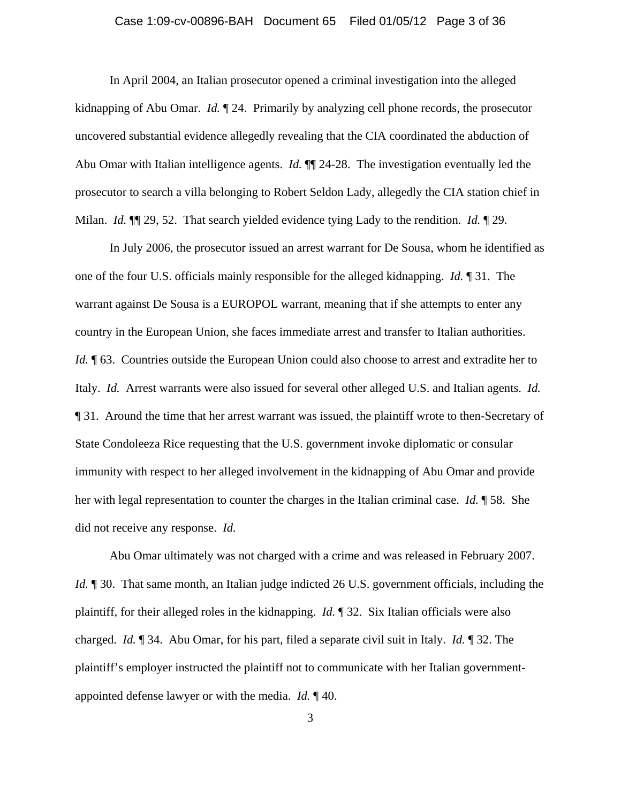### Case 1:09-cv-00896-BAH Document 65 Filed 01/05/12 Page 3 of 36

In April 2004, an Italian prosecutor opened a criminal investigation into the alleged kidnapping of Abu Omar. *Id.* ¶ 24. Primarily by analyzing cell phone records, the prosecutor uncovered substantial evidence allegedly revealing that the CIA coordinated the abduction of Abu Omar with Italian intelligence agents. *Id.* ¶¶ 24-28. The investigation eventually led the prosecutor to search a villa belonging to Robert Seldon Lady, allegedly the CIA station chief in Milan. *Id.* ¶¶ 29, 52. That search yielded evidence tying Lady to the rendition. *Id.* ¶ 29.

In July 2006, the prosecutor issued an arrest warrant for De Sousa, whom he identified as one of the four U.S. officials mainly responsible for the alleged kidnapping. *Id.* ¶ 31. The warrant against De Sousa is a EUROPOL warrant, meaning that if she attempts to enter any country in the European Union, she faces immediate arrest and transfer to Italian authorities. *Id.*  $\P$  63. Countries outside the European Union could also choose to arrest and extradite her to Italy. *Id.* Arrest warrants were also issued for several other alleged U.S. and Italian agents. *Id.*  ¶ 31. Around the time that her arrest warrant was issued, the plaintiff wrote to then-Secretary of State Condoleeza Rice requesting that the U.S. government invoke diplomatic or consular immunity with respect to her alleged involvement in the kidnapping of Abu Omar and provide her with legal representation to counter the charges in the Italian criminal case. *Id.* ¶ 58. She did not receive any response. *Id.*

Abu Omar ultimately was not charged with a crime and was released in February 2007. *Id.*  $\parallel$  30. That same month, an Italian judge indicted 26 U.S. government officials, including the plaintiff, for their alleged roles in the kidnapping. *Id.* ¶ 32. Six Italian officials were also charged. *Id.* ¶ 34. Abu Omar, for his part, filed a separate civil suit in Italy. *Id.* ¶ 32. The plaintiff's employer instructed the plaintiff not to communicate with her Italian governmentappointed defense lawyer or with the media. *Id.* ¶ 40.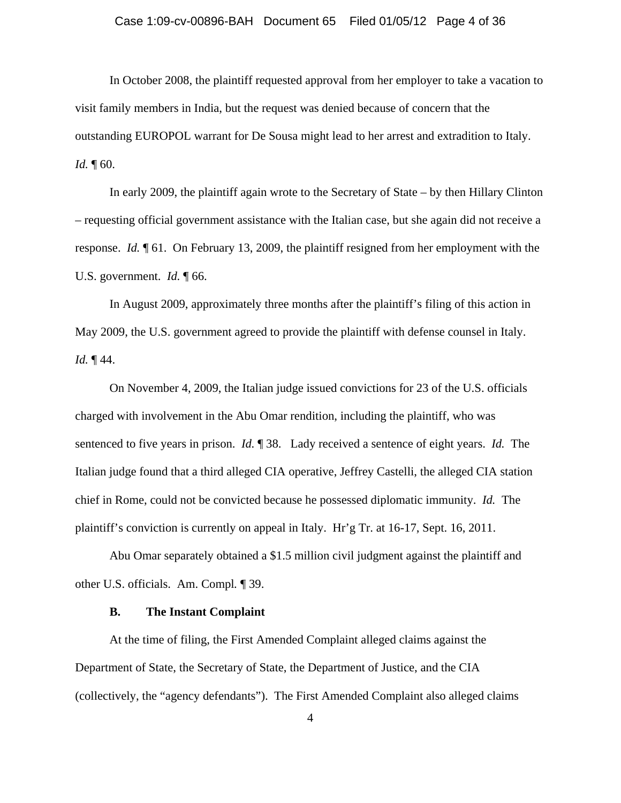### Case 1:09-cv-00896-BAH Document 65 Filed 01/05/12 Page 4 of 36

In October 2008, the plaintiff requested approval from her employer to take a vacation to visit family members in India, but the request was denied because of concern that the outstanding EUROPOL warrant for De Sousa might lead to her arrest and extradition to Italy. *Id.* 160.

In early 2009, the plaintiff again wrote to the Secretary of State – by then Hillary Clinton – requesting official government assistance with the Italian case, but she again did not receive a response. *Id.* ¶ 61. On February 13, 2009, the plaintiff resigned from her employment with the U.S. government. *Id.* 166.

In August 2009, approximately three months after the plaintiff's filing of this action in May 2009, the U.S. government agreed to provide the plaintiff with defense counsel in Italy. *Id.* ¶ 44.

 On November 4, 2009, the Italian judge issued convictions for 23 of the U.S. officials charged with involvement in the Abu Omar rendition, including the plaintiff, who was sentenced to five years in prison. *Id.* ¶ 38. Lady received a sentence of eight years. *Id.* The Italian judge found that a third alleged CIA operative, Jeffrey Castelli, the alleged CIA station chief in Rome, could not be convicted because he possessed diplomatic immunity. *Id.* The plaintiff's conviction is currently on appeal in Italy. Hr'g Tr. at 16-17, Sept. 16, 2011.

 Abu Omar separately obtained a \$1.5 million civil judgment against the plaintiff and other U.S. officials. Am. Compl*.* ¶ 39.

## **B. The Instant Complaint**

At the time of filing, the First Amended Complaint alleged claims against the Department of State, the Secretary of State, the Department of Justice, and the CIA (collectively, the "agency defendants"). The First Amended Complaint also alleged claims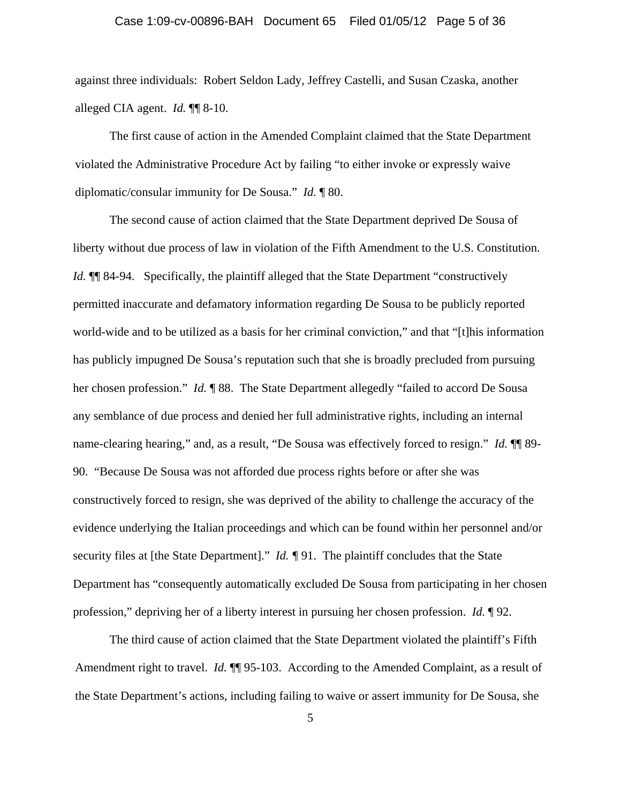### Case 1:09-cv-00896-BAH Document 65 Filed 01/05/12 Page 5 of 36

against three individuals: Robert Seldon Lady, Jeffrey Castelli, and Susan Czaska, another alleged CIA agent. *Id.* ¶¶ 8-10.

 The first cause of action in the Amended Complaint claimed that the State Department violated the Administrative Procedure Act by failing "to either invoke or expressly waive diplomatic/consular immunity for De Sousa." *Id.* ¶ 80.

The second cause of action claimed that the State Department deprived De Sousa of liberty without due process of law in violation of the Fifth Amendment to the U.S. Constitution. *Id.*  $\P$  84-94. Specifically, the plaintiff alleged that the State Department "constructively permitted inaccurate and defamatory information regarding De Sousa to be publicly reported world-wide and to be utilized as a basis for her criminal conviction," and that "[t]his information has publicly impugned De Sousa's reputation such that she is broadly precluded from pursuing her chosen profession." *Id.* **[88.]** The State Department allegedly "failed to accord De Sousa any semblance of due process and denied her full administrative rights, including an internal name-clearing hearing," and, as a result, "De Sousa was effectively forced to resign." *Id.*  $\P$  89-90. "Because De Sousa was not afforded due process rights before or after she was constructively forced to resign, she was deprived of the ability to challenge the accuracy of the evidence underlying the Italian proceedings and which can be found within her personnel and/or security files at [the State Department]." *Id. ¶* 91. The plaintiff concludes that the State Department has "consequently automatically excluded De Sousa from participating in her chosen profession," depriving her of a liberty interest in pursuing her chosen profession. *Id.* ¶ 92.

 The third cause of action claimed that the State Department violated the plaintiff's Fifth Amendment right to travel. *Id.*  $\P$  95-103. According to the Amended Complaint, as a result of the State Department's actions, including failing to waive or assert immunity for De Sousa, she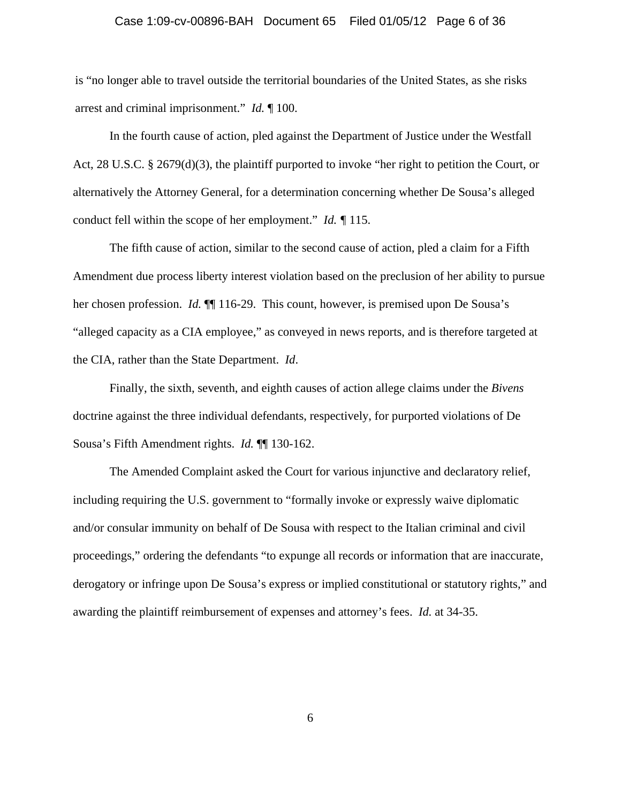### Case 1:09-cv-00896-BAH Document 65 Filed 01/05/12 Page 6 of 36

is "no longer able to travel outside the territorial boundaries of the United States, as she risks arrest and criminal imprisonment." *Id.* ¶ 100.

 In the fourth cause of action, pled against the Department of Justice under the Westfall Act, 28 U.S.C. § 2679(d)(3), the plaintiff purported to invoke "her right to petition the Court, or alternatively the Attorney General, for a determination concerning whether De Sousa's alleged conduct fell within the scope of her employment." *Id. ¶* 115.

 The fifth cause of action, similar to the second cause of action, pled a claim for a Fifth Amendment due process liberty interest violation based on the preclusion of her ability to pursue her chosen profession. *Id.*  $\P$  116-29. This count, however, is premised upon De Sousa's "alleged capacity as a CIA employee," as conveyed in news reports, and is therefore targeted at the CIA, rather than the State Department. *Id*.

 Finally, the sixth, seventh, and eighth causes of action allege claims under the *Bivens*  doctrine against the three individual defendants, respectively, for purported violations of De Sousa's Fifth Amendment rights. *Id.* ¶¶ 130-162.

 The Amended Complaint asked the Court for various injunctive and declaratory relief, including requiring the U.S. government to "formally invoke or expressly waive diplomatic and/or consular immunity on behalf of De Sousa with respect to the Italian criminal and civil proceedings," ordering the defendants "to expunge all records or information that are inaccurate, derogatory or infringe upon De Sousa's express or implied constitutional or statutory rights," and awarding the plaintiff reimbursement of expenses and attorney's fees. *Id.* at 34-35.

6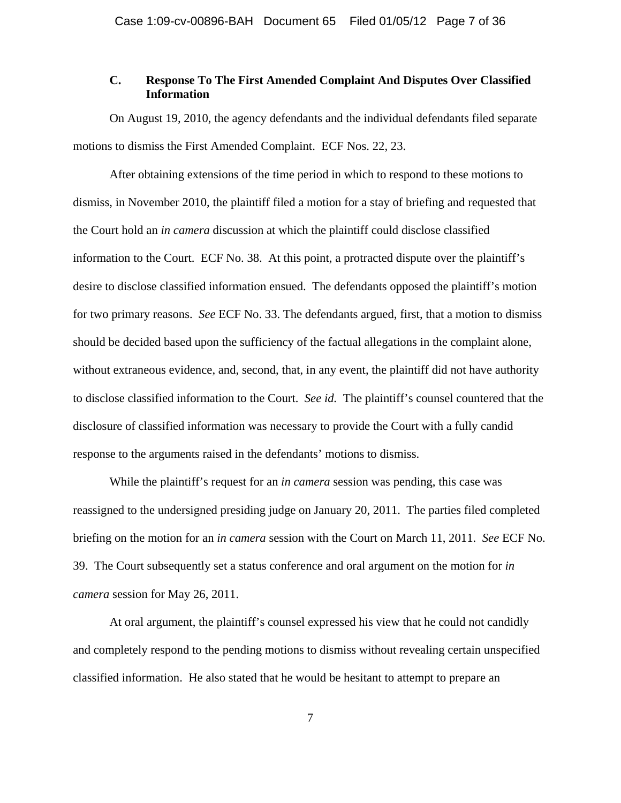# **C. Response To The First Amended Complaint And Disputes Over Classified Information**

 On August 19, 2010, the agency defendants and the individual defendants filed separate motions to dismiss the First Amended Complaint. ECF Nos. 22, 23.

 After obtaining extensions of the time period in which to respond to these motions to dismiss, in November 2010, the plaintiff filed a motion for a stay of briefing and requested that the Court hold an *in camera* discussion at which the plaintiff could disclose classified information to the Court. ECF No. 38. At this point, a protracted dispute over the plaintiff's desire to disclose classified information ensued. The defendants opposed the plaintiff's motion for two primary reasons. *See* ECF No. 33. The defendants argued, first, that a motion to dismiss should be decided based upon the sufficiency of the factual allegations in the complaint alone, without extraneous evidence, and, second, that, in any event, the plaintiff did not have authority to disclose classified information to the Court. *See id.* The plaintiff's counsel countered that the disclosure of classified information was necessary to provide the Court with a fully candid response to the arguments raised in the defendants' motions to dismiss.

 While the plaintiff's request for an *in camera* session was pending, this case was reassigned to the undersigned presiding judge on January 20, 2011. The parties filed completed briefing on the motion for an *in camera* session with the Court on March 11, 2011. *See* ECF No. 39. The Court subsequently set a status conference and oral argument on the motion for *in camera* session for May 26, 2011.

 At oral argument, the plaintiff's counsel expressed his view that he could not candidly and completely respond to the pending motions to dismiss without revealing certain unspecified classified information. He also stated that he would be hesitant to attempt to prepare an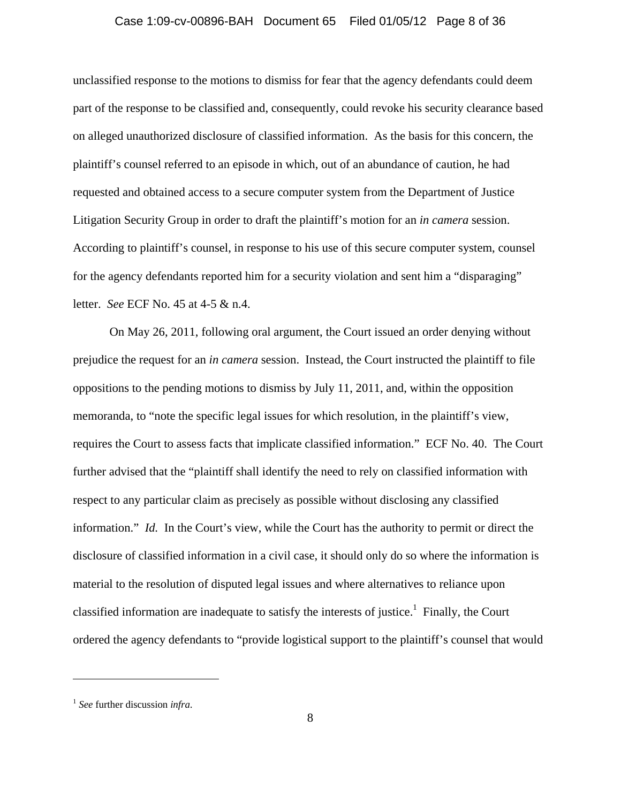### Case 1:09-cv-00896-BAH Document 65 Filed 01/05/12 Page 8 of 36

unclassified response to the motions to dismiss for fear that the agency defendants could deem part of the response to be classified and, consequently, could revoke his security clearance based on alleged unauthorized disclosure of classified information. As the basis for this concern, the plaintiff's counsel referred to an episode in which, out of an abundance of caution, he had requested and obtained access to a secure computer system from the Department of Justice Litigation Security Group in order to draft the plaintiff's motion for an *in camera* session. According to plaintiff's counsel, in response to his use of this secure computer system, counsel for the agency defendants reported him for a security violation and sent him a "disparaging" letter. *See* ECF No. 45 at 4-5 & n.4.

 On May 26, 2011, following oral argument, the Court issued an order denying without prejudice the request for an *in camera* session. Instead, the Court instructed the plaintiff to file oppositions to the pending motions to dismiss by July 11, 2011, and, within the opposition memoranda, to "note the specific legal issues for which resolution, in the plaintiff's view, requires the Court to assess facts that implicate classified information." ECF No. 40. The Court further advised that the "plaintiff shall identify the need to rely on classified information with respect to any particular claim as precisely as possible without disclosing any classified information." *Id.* In the Court's view, while the Court has the authority to permit or direct the disclosure of classified information in a civil case, it should only do so where the information is material to the resolution of disputed legal issues and where alternatives to reliance upon classified information are inadequate to satisfy the interests of justice.<sup>1</sup> Finally, the Court ordered the agency defendants to "provide logistical support to the plaintiff's counsel that would

<sup>1</sup> *See* further discussion *infra*.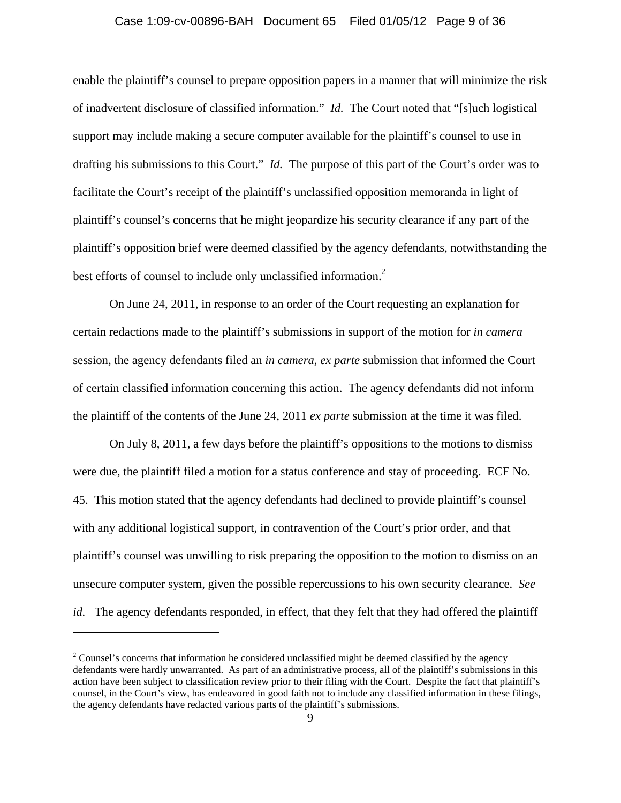# Case 1:09-cv-00896-BAH Document 65 Filed 01/05/12 Page 9 of 36

enable the plaintiff's counsel to prepare opposition papers in a manner that will minimize the risk of inadvertent disclosure of classified information." *Id.* The Court noted that "[s]uch logistical support may include making a secure computer available for the plaintiff's counsel to use in drafting his submissions to this Court." *Id.* The purpose of this part of the Court's order was to facilitate the Court's receipt of the plaintiff's unclassified opposition memoranda in light of plaintiff's counsel's concerns that he might jeopardize his security clearance if any part of the plaintiff's opposition brief were deemed classified by the agency defendants, notwithstanding the best efforts of counsel to include only unclassified information.<sup>2</sup>

 On June 24, 2011, in response to an order of the Court requesting an explanation for certain redactions made to the plaintiff's submissions in support of the motion for *in camera*  session, the agency defendants filed an *in camera*, *ex parte* submission that informed the Court of certain classified information concerning this action. The agency defendants did not inform the plaintiff of the contents of the June 24, 2011 *ex parte* submission at the time it was filed.

 On July 8, 2011, a few days before the plaintiff's oppositions to the motions to dismiss were due, the plaintiff filed a motion for a status conference and stay of proceeding. ECF No. 45. This motion stated that the agency defendants had declined to provide plaintiff's counsel with any additional logistical support, in contravention of the Court's prior order, and that plaintiff's counsel was unwilling to risk preparing the opposition to the motion to dismiss on an unsecure computer system, given the possible repercussions to his own security clearance. *See id.* The agency defendants responded, in effect, that they felt that they had offered the plaintiff

 $2^2$  Counsel's concerns that information he considered unclassified might be deemed classified by the agency defendants were hardly unwarranted. As part of an administrative process, all of the plaintiff's submissions in this action have been subject to classification review prior to their filing with the Court. Despite the fact that plaintiff's counsel, in the Court's view, has endeavored in good faith not to include any classified information in these filings, the agency defendants have redacted various parts of the plaintiff's submissions.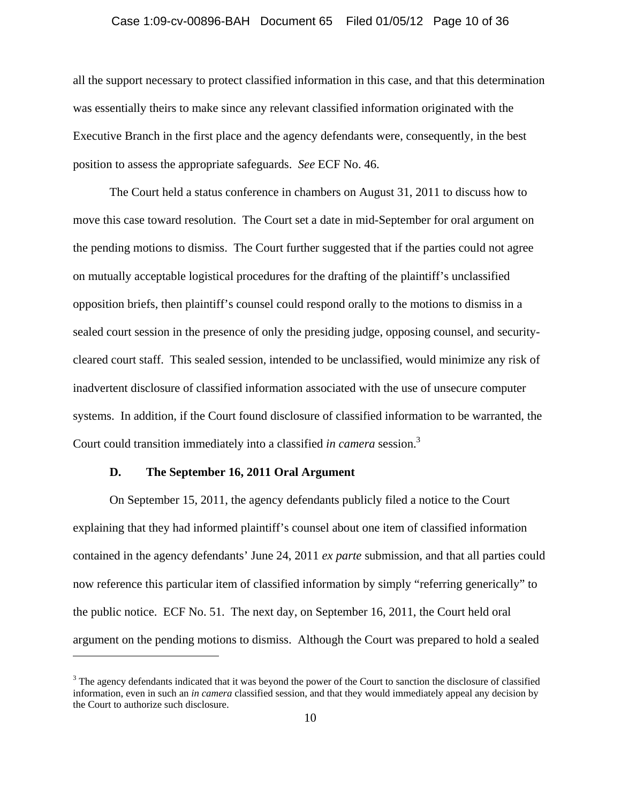### Case 1:09-cv-00896-BAH Document 65 Filed 01/05/12 Page 10 of 36

all the support necessary to protect classified information in this case, and that this determination was essentially theirs to make since any relevant classified information originated with the Executive Branch in the first place and the agency defendants were, consequently, in the best position to assess the appropriate safeguards. *See* ECF No. 46.

 The Court held a status conference in chambers on August 31, 2011 to discuss how to move this case toward resolution. The Court set a date in mid-September for oral argument on the pending motions to dismiss. The Court further suggested that if the parties could not agree on mutually acceptable logistical procedures for the drafting of the plaintiff's unclassified opposition briefs, then plaintiff's counsel could respond orally to the motions to dismiss in a sealed court session in the presence of only the presiding judge, opposing counsel, and securitycleared court staff. This sealed session, intended to be unclassified, would minimize any risk of inadvertent disclosure of classified information associated with the use of unsecure computer systems. In addition, if the Court found disclosure of classified information to be warranted, the Court could transition immediately into a classified *in camera* session.3

### **D. The September 16, 2011 Oral Argument**

 $\overline{a}$ 

 On September 15, 2011, the agency defendants publicly filed a notice to the Court explaining that they had informed plaintiff's counsel about one item of classified information contained in the agency defendants' June 24, 2011 *ex parte* submission, and that all parties could now reference this particular item of classified information by simply "referring generically" to the public notice. ECF No. 51. The next day, on September 16, 2011, the Court held oral argument on the pending motions to dismiss. Although the Court was prepared to hold a sealed

 $3$  The agency defendants indicated that it was beyond the power of the Court to sanction the disclosure of classified information, even in such an *in camera* classified session, and that they would immediately appeal any decision by the Court to authorize such disclosure.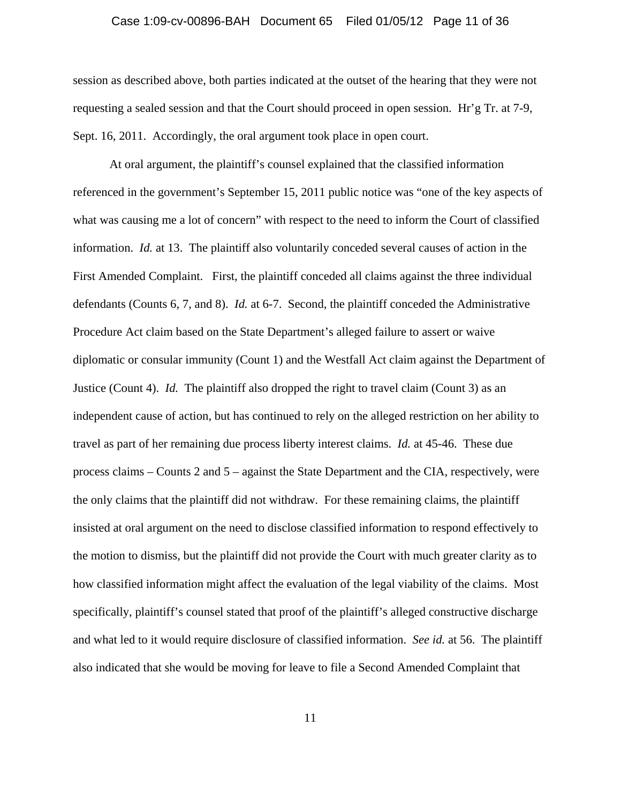#### Case 1:09-cv-00896-BAH Document 65 Filed 01/05/12 Page 11 of 36

session as described above, both parties indicated at the outset of the hearing that they were not requesting a sealed session and that the Court should proceed in open session. Hr'g Tr. at 7-9, Sept. 16, 2011. Accordingly, the oral argument took place in open court.

At oral argument, the plaintiff's counsel explained that the classified information referenced in the government's September 15, 2011 public notice was "one of the key aspects of what was causing me a lot of concern" with respect to the need to inform the Court of classified information. *Id.* at 13. The plaintiff also voluntarily conceded several causes of action in the First Amended Complaint. First, the plaintiff conceded all claims against the three individual defendants (Counts 6, 7, and 8). *Id.* at 6-7. Second, the plaintiff conceded the Administrative Procedure Act claim based on the State Department's alleged failure to assert or waive diplomatic or consular immunity (Count 1) and the Westfall Act claim against the Department of Justice (Count 4). *Id.* The plaintiff also dropped the right to travel claim (Count 3) as an independent cause of action, but has continued to rely on the alleged restriction on her ability to travel as part of her remaining due process liberty interest claims. *Id.* at 45-46. These due process claims – Counts 2 and 5 – against the State Department and the CIA, respectively, were the only claims that the plaintiff did not withdraw. For these remaining claims, the plaintiff insisted at oral argument on the need to disclose classified information to respond effectively to the motion to dismiss, but the plaintiff did not provide the Court with much greater clarity as to how classified information might affect the evaluation of the legal viability of the claims. Most specifically, plaintiff's counsel stated that proof of the plaintiff's alleged constructive discharge and what led to it would require disclosure of classified information. *See id.* at 56. The plaintiff also indicated that she would be moving for leave to file a Second Amended Complaint that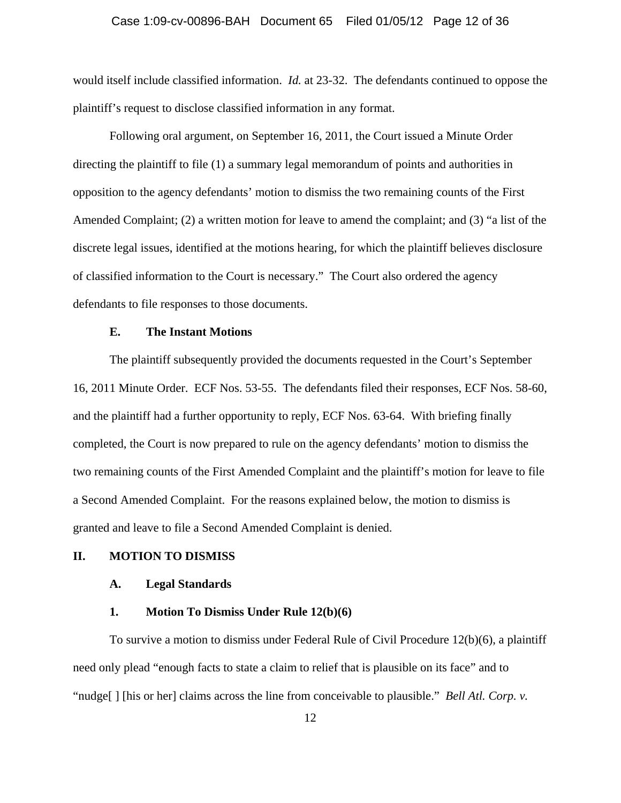#### Case 1:09-cv-00896-BAH Document 65 Filed 01/05/12 Page 12 of 36

would itself include classified information. *Id.* at 23-32. The defendants continued to oppose the plaintiff's request to disclose classified information in any format.

 Following oral argument, on September 16, 2011, the Court issued a Minute Order directing the plaintiff to file (1) a summary legal memorandum of points and authorities in opposition to the agency defendants' motion to dismiss the two remaining counts of the First Amended Complaint; (2) a written motion for leave to amend the complaint; and (3) "a list of the discrete legal issues, identified at the motions hearing, for which the plaintiff believes disclosure of classified information to the Court is necessary." The Court also ordered the agency defendants to file responses to those documents.

## **E. The Instant Motions**

 The plaintiff subsequently provided the documents requested in the Court's September 16, 2011 Minute Order. ECF Nos. 53-55. The defendants filed their responses, ECF Nos. 58-60, and the plaintiff had a further opportunity to reply, ECF Nos. 63-64. With briefing finally completed, the Court is now prepared to rule on the agency defendants' motion to dismiss the two remaining counts of the First Amended Complaint and the plaintiff's motion for leave to file a Second Amended Complaint. For the reasons explained below, the motion to dismiss is granted and leave to file a Second Amended Complaint is denied.

### **II. MOTION TO DISMISS**

#### **A. Legal Standards**

### **1. Motion To Dismiss Under Rule 12(b)(6)**

To survive a motion to dismiss under Federal Rule of Civil Procedure 12(b)(6), a plaintiff need only plead "enough facts to state a claim to relief that is plausible on its face" and to "nudge[] [his or her] claims across the line from conceivable to plausible." *Bell Atl. Corp. v.*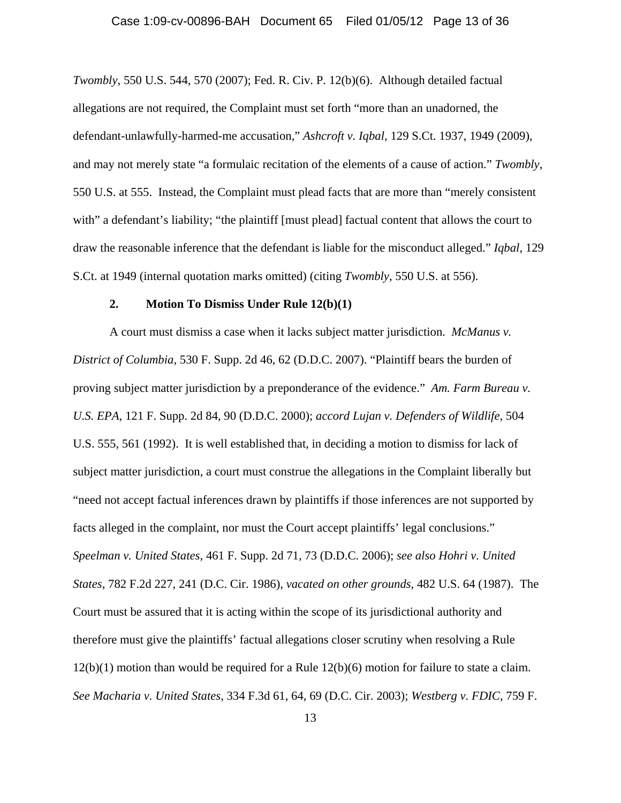#### Case 1:09-cv-00896-BAH Document 65 Filed 01/05/12 Page 13 of 36

*Twombly*, 550 U.S. 544, 570 (2007); Fed. R. Civ. P. 12(b)(6). Although detailed factual allegations are not required, the Complaint must set forth "more than an unadorned, the defendant-unlawfully-harmed-me accusation," *Ashcroft v. Iqbal*, 129 S.Ct. 1937, 1949 (2009), and may not merely state "a formulaic recitation of the elements of a cause of action." *Twombly*, 550 U.S. at 555. Instead, the Complaint must plead facts that are more than "merely consistent with" a defendant's liability; "the plaintiff [must plead] factual content that allows the court to draw the reasonable inference that the defendant is liable for the misconduct alleged." *Iqbal*, 129 S.Ct. at 1949 (internal quotation marks omitted) (citing *Twombly*, 550 U.S. at 556).

#### **2. Motion To Dismiss Under Rule 12(b)(1)**

A court must dismiss a case when it lacks subject matter jurisdiction. *McManus v. District of Columbia*, 530 F. Supp. 2d 46, 62 (D.D.C. 2007). "Plaintiff bears the burden of proving subject matter jurisdiction by a preponderance of the evidence." *Am. Farm Bureau v. U.S. EPA*, 121 F. Supp. 2d 84, 90 (D.D.C. 2000); *accord Lujan v. Defenders of Wildlife*, 504 U.S. 555, 561 (1992). It is well established that, in deciding a motion to dismiss for lack of subject matter jurisdiction, a court must construe the allegations in the Complaint liberally but "need not accept factual inferences drawn by plaintiffs if those inferences are not supported by facts alleged in the complaint, nor must the Court accept plaintiffs' legal conclusions." *Speelman v. United States*, 461 F. Supp. 2d 71, 73 (D.D.C. 2006); *see also Hohri v. United States*, 782 F.2d 227, 241 (D.C. Cir. 1986), *vacated on other grounds*, 482 U.S. 64 (1987). The Court must be assured that it is acting within the scope of its jurisdictional authority and therefore must give the plaintiffs' factual allegations closer scrutiny when resolving a Rule 12(b)(1) motion than would be required for a Rule 12(b)(6) motion for failure to state a claim. *See Macharia v. United States*, 334 F.3d 61, 64, 69 (D.C. Cir. 2003); *Westberg v. FDIC*, 759 F.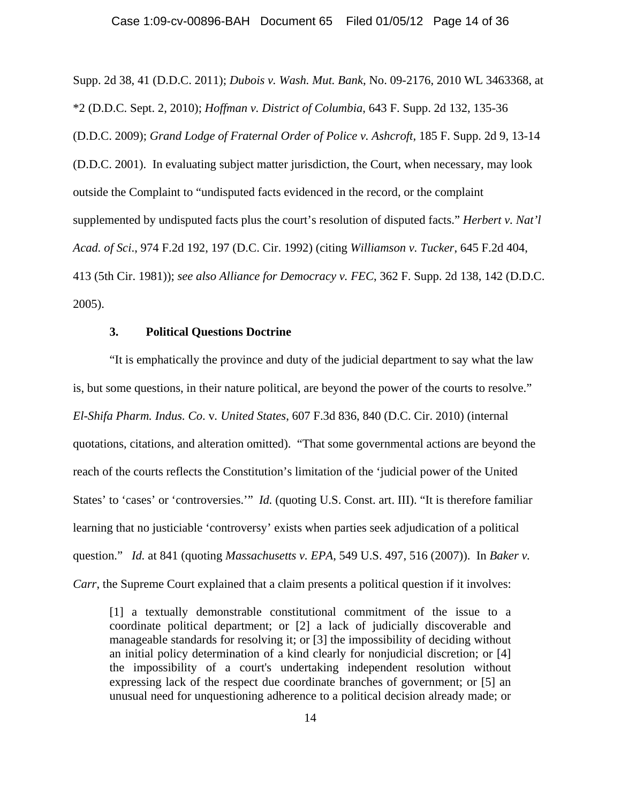Supp. 2d 38, 41 (D.D.C. 2011); *Dubois v. Wash. Mut. Bank*, No. 09-2176, 2010 WL 3463368, at \*2 (D.D.C. Sept. 2, 2010); *Hoffman v. District of Columbia*, 643 F. Supp. 2d 132, 135-36 (D.D.C. 2009); *Grand Lodge of Fraternal Order of Police v. Ashcroft*, 185 F. Supp. 2d 9, 13-14 (D.D.C. 2001). In evaluating subject matter jurisdiction, the Court, when necessary, may look outside the Complaint to "undisputed facts evidenced in the record, or the complaint supplemented by undisputed facts plus the court's resolution of disputed facts." *Herbert v. Nat'l Acad. of Sci*., 974 F.2d 192, 197 (D.C. Cir. 1992) (citing *Williamson v. Tucker*, 645 F.2d 404, 413 (5th Cir. 1981)); *see also Alliance for Democracy v. FEC*, 362 F. Supp. 2d 138, 142 (D.D.C. 2005).

## **3. Political Questions Doctrine**

"It is emphatically the province and duty of the judicial department to say what the law is, but some questions, in their nature political, are beyond the power of the courts to resolve." *El-Shifa Pharm. Indus. Co*. v*. United States*, 607 F.3d 836, 840 (D.C. Cir. 2010) (internal quotations, citations, and alteration omitted). "That some governmental actions are beyond the reach of the courts reflects the Constitution's limitation of the 'judicial power of the United States' to 'cases' or 'controversies.'" *Id.* (quoting U.S. Const. art. III). "It is therefore familiar learning that no justiciable 'controversy' exists when parties seek adjudication of a political question." *Id.* at 841 (quoting *Massachusetts v. EPA*, 549 U.S. 497, 516 (2007)). In *Baker v. Carr*, the Supreme Court explained that a claim presents a political question if it involves:

[1] a textually demonstrable constitutional commitment of the issue to a coordinate political department; or [2] a lack of judicially discoverable and manageable standards for resolving it; or [3] the impossibility of deciding without an initial policy determination of a kind clearly for nonjudicial discretion; or [4] the impossibility of a court's undertaking independent resolution without expressing lack of the respect due coordinate branches of government; or [5] an unusual need for unquestioning adherence to a political decision already made; or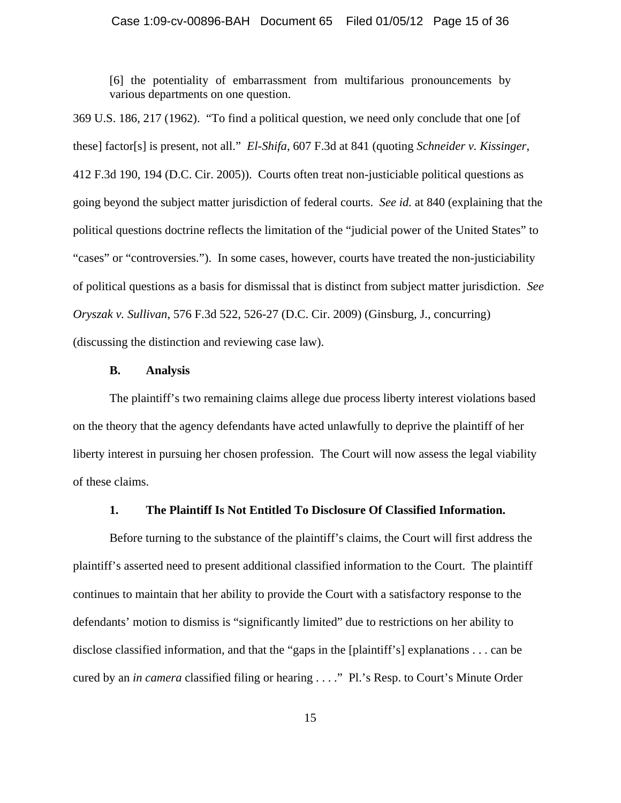[6] the potentiality of embarrassment from multifarious pronouncements by various departments on one question.

369 U.S. 186, 217 (1962). "To find a political question, we need only conclude that one [of these] factor[s] is present, not all." *El-Shifa*, 607 F.3d at 841 (quoting *Schneider v. Kissinger*, 412 F.3d 190, 194 (D.C. Cir. 2005)). Courts often treat non-justiciable political questions as going beyond the subject matter jurisdiction of federal courts. *See id.* at 840 (explaining that the political questions doctrine reflects the limitation of the "judicial power of the United States" to "cases" or "controversies."). In some cases, however, courts have treated the non-justiciability of political questions as a basis for dismissal that is distinct from subject matter jurisdiction. *See Oryszak v. Sullivan*, 576 F.3d 522, 526-27 (D.C. Cir. 2009) (Ginsburg, J., concurring) (discussing the distinction and reviewing case law).

## **B. Analysis**

The plaintiff's two remaining claims allege due process liberty interest violations based on the theory that the agency defendants have acted unlawfully to deprive the plaintiff of her liberty interest in pursuing her chosen profession. The Court will now assess the legal viability of these claims.

# **1. The Plaintiff Is Not Entitled To Disclosure Of Classified Information.**

Before turning to the substance of the plaintiff's claims, the Court will first address the plaintiff's asserted need to present additional classified information to the Court. The plaintiff continues to maintain that her ability to provide the Court with a satisfactory response to the defendants' motion to dismiss is "significantly limited" due to restrictions on her ability to disclose classified information, and that the "gaps in the [plaintiff's] explanations . . . can be cured by an *in camera* classified filing or hearing . . . ." Pl.'s Resp. to Court's Minute Order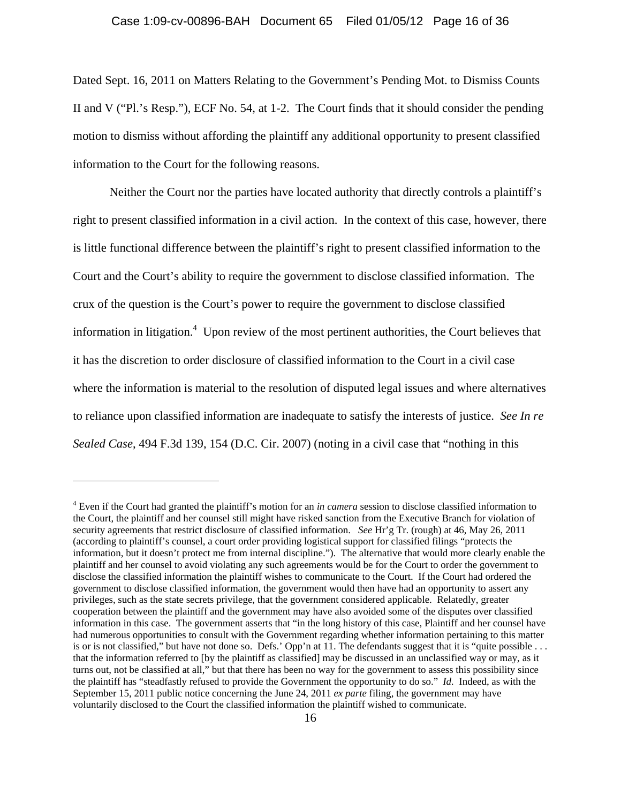### Case 1:09-cv-00896-BAH Document 65 Filed 01/05/12 Page 16 of 36

Dated Sept. 16, 2011 on Matters Relating to the Government's Pending Mot. to Dismiss Counts II and V ("Pl.'s Resp."), ECF No. 54, at 1-2. The Court finds that it should consider the pending motion to dismiss without affording the plaintiff any additional opportunity to present classified information to the Court for the following reasons.

Neither the Court nor the parties have located authority that directly controls a plaintiff's right to present classified information in a civil action. In the context of this case, however, there is little functional difference between the plaintiff's right to present classified information to the Court and the Court's ability to require the government to disclose classified information. The crux of the question is the Court's power to require the government to disclose classified information in litigation.<sup>4</sup> Upon review of the most pertinent authorities, the Court believes that it has the discretion to order disclosure of classified information to the Court in a civil case where the information is material to the resolution of disputed legal issues and where alternatives to reliance upon classified information are inadequate to satisfy the interests of justice. *See In re Sealed Case*, 494 F.3d 139, 154 (D.C. Cir. 2007) (noting in a civil case that "nothing in this

<sup>4</sup> Even if the Court had granted the plaintiff's motion for an *in camera* session to disclose classified information to the Court, the plaintiff and her counsel still might have risked sanction from the Executive Branch for violation of security agreements that restrict disclosure of classified information. *See* Hr'g Tr. (rough) at 46, May 26, 2011 (according to plaintiff's counsel, a court order providing logistical support for classified filings "protects the information, but it doesn't protect me from internal discipline."). The alternative that would more clearly enable the plaintiff and her counsel to avoid violating any such agreements would be for the Court to order the government to disclose the classified information the plaintiff wishes to communicate to the Court. If the Court had ordered the government to disclose classified information, the government would then have had an opportunity to assert any privileges, such as the state secrets privilege, that the government considered applicable. Relatedly, greater cooperation between the plaintiff and the government may have also avoided some of the disputes over classified information in this case. The government asserts that "in the long history of this case, Plaintiff and her counsel have had numerous opportunities to consult with the Government regarding whether information pertaining to this matter is or is not classified," but have not done so. Defs.' Opp'n at 11. The defendants suggest that it is "quite possible . . . that the information referred to [by the plaintiff as classified] may be discussed in an unclassified way or may, as it turns out, not be classified at all," but that there has been no way for the government to assess this possibility since the plaintiff has "steadfastly refused to provide the Government the opportunity to do so." *Id.* Indeed, as with the September 15, 2011 public notice concerning the June 24, 2011 *ex parte* filing, the government may have voluntarily disclosed to the Court the classified information the plaintiff wished to communicate.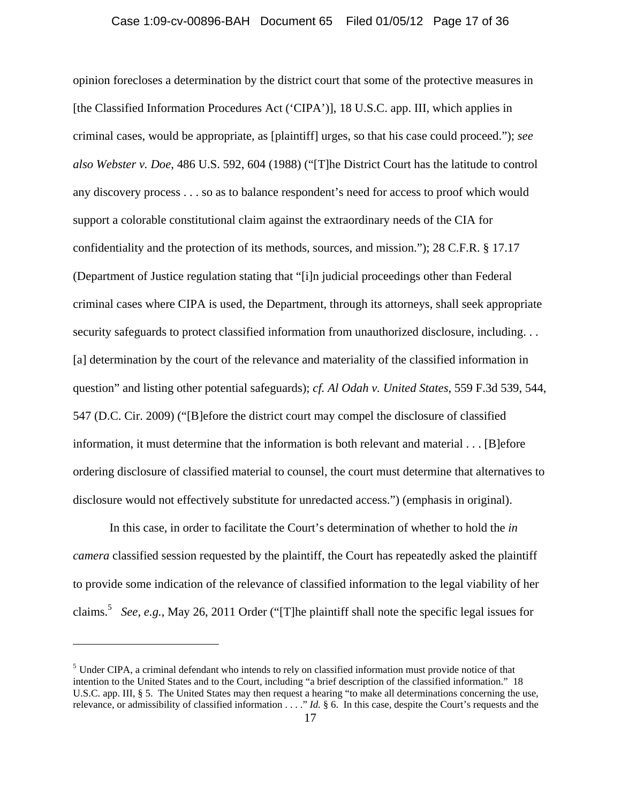### Case 1:09-cv-00896-BAH Document 65 Filed 01/05/12 Page 17 of 36

opinion forecloses a determination by the district court that some of the protective measures in [the Classified Information Procedures Act ('CIPA')], 18 U.S.C. app. III, which applies in criminal cases, would be appropriate, as [plaintiff] urges, so that his case could proceed."); *see also Webster v. Doe*, 486 U.S. 592, 604 (1988) ("[T]he District Court has the latitude to control any discovery process . . . so as to balance respondent's need for access to proof which would support a colorable constitutional claim against the extraordinary needs of the CIA for confidentiality and the protection of its methods, sources, and mission."); 28 C.F.R. § 17.17 (Department of Justice regulation stating that "[i]n judicial proceedings other than Federal criminal cases where CIPA is used, the Department, through its attorneys, shall seek appropriate security safeguards to protect classified information from unauthorized disclosure, including. . . [a] determination by the court of the relevance and materiality of the classified information in question" and listing other potential safeguards); *cf. Al Odah v. United States*, 559 F.3d 539, 544, 547 (D.C. Cir. 2009) ("[B]efore the district court may compel the disclosure of classified information, it must determine that the information is both relevant and material . . . [B]efore ordering disclosure of classified material to counsel, the court must determine that alternatives to disclosure would not effectively substitute for unredacted access.") (emphasis in original).

In this case, in order to facilitate the Court's determination of whether to hold the *in camera* classified session requested by the plaintiff, the Court has repeatedly asked the plaintiff to provide some indication of the relevance of classified information to the legal viability of her claims.5 *See, e.g.*, May 26, 2011 Order ("[T]he plaintiff shall note the specific legal issues for

1

<sup>&</sup>lt;sup>5</sup> Under CIPA, a criminal defendant who intends to rely on classified information must provide notice of that intention to the United States and to the Court, including "a brief description of the classified information." 18 U.S.C. app. III, § 5. The United States may then request a hearing "to make all determinations concerning the use, relevance, or admissibility of classified information . . . ." *Id.* § 6. In this case, despite the Court's requests and the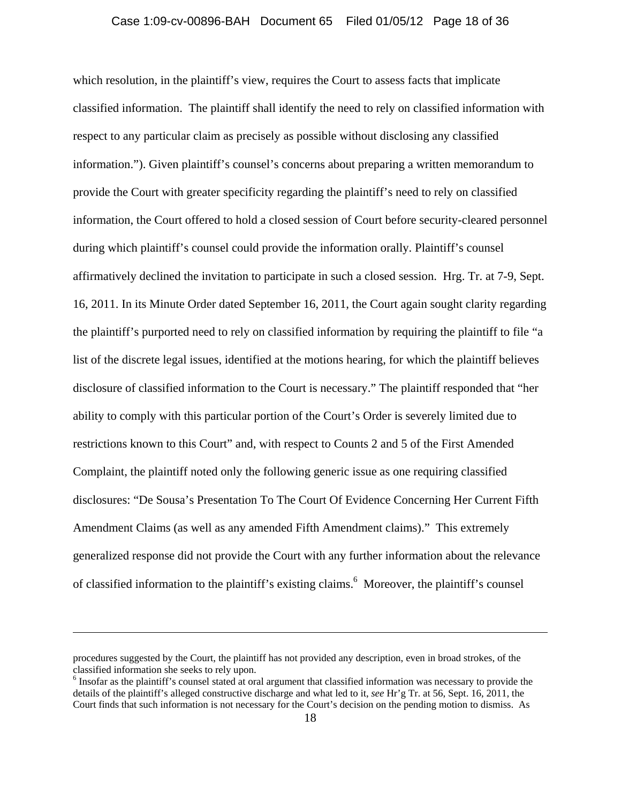#### Case 1:09-cv-00896-BAH Document 65 Filed 01/05/12 Page 18 of 36

which resolution, in the plaintiff's view, requires the Court to assess facts that implicate classified information. The plaintiff shall identify the need to rely on classified information with respect to any particular claim as precisely as possible without disclosing any classified information."). Given plaintiff's counsel's concerns about preparing a written memorandum to provide the Court with greater specificity regarding the plaintiff's need to rely on classified information, the Court offered to hold a closed session of Court before security-cleared personnel during which plaintiff's counsel could provide the information orally. Plaintiff's counsel affirmatively declined the invitation to participate in such a closed session. Hrg. Tr. at 7-9, Sept. 16, 2011. In its Minute Order dated September 16, 2011, the Court again sought clarity regarding the plaintiff's purported need to rely on classified information by requiring the plaintiff to file "a list of the discrete legal issues, identified at the motions hearing, for which the plaintiff believes disclosure of classified information to the Court is necessary." The plaintiff responded that "her ability to comply with this particular portion of the Court's Order is severely limited due to restrictions known to this Court" and, with respect to Counts 2 and 5 of the First Amended Complaint, the plaintiff noted only the following generic issue as one requiring classified disclosures: "De Sousa's Presentation To The Court Of Evidence Concerning Her Current Fifth Amendment Claims (as well as any amended Fifth Amendment claims)." This extremely generalized response did not provide the Court with any further information about the relevance of classified information to the plaintiff's existing claims.<sup>6</sup> Moreover, the plaintiff's counsel

procedures suggested by the Court, the plaintiff has not provided any description, even in broad strokes, of the classified information she seeks to rely upon. 6

<sup>&</sup>lt;sup>6</sup> Insofar as the plaintiff's counsel stated at oral argument that classified information was necessary to provide the details of the plaintiff's alleged constructive discharge and what led to it, *see* Hr'g Tr. at 56, Sept. 16, 2011, the Court finds that such information is not necessary for the Court's decision on the pending motion to dismiss. As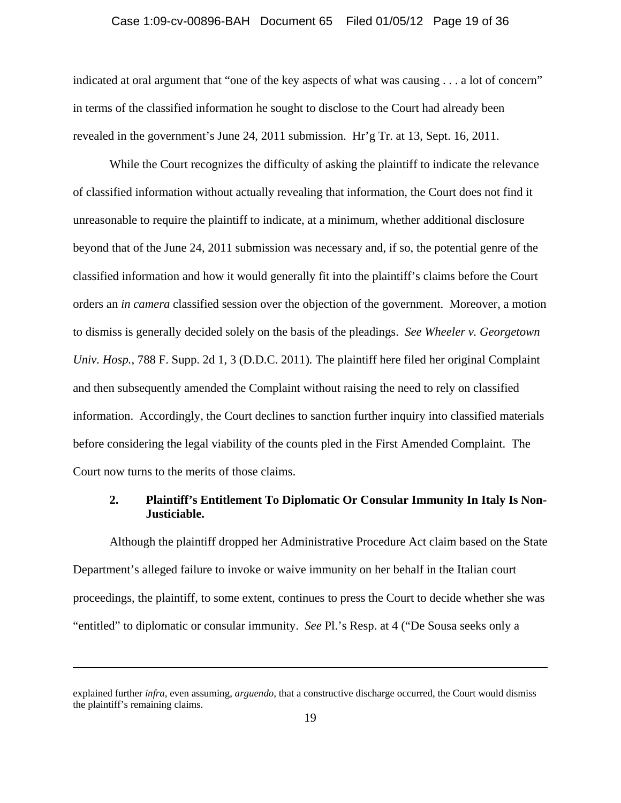#### Case 1:09-cv-00896-BAH Document 65 Filed 01/05/12 Page 19 of 36

indicated at oral argument that "one of the key aspects of what was causing . . . a lot of concern" in terms of the classified information he sought to disclose to the Court had already been revealed in the government's June 24, 2011 submission. Hr'g Tr. at 13, Sept. 16, 2011.

While the Court recognizes the difficulty of asking the plaintiff to indicate the relevance of classified information without actually revealing that information, the Court does not find it unreasonable to require the plaintiff to indicate, at a minimum, whether additional disclosure beyond that of the June 24, 2011 submission was necessary and, if so, the potential genre of the classified information and how it would generally fit into the plaintiff's claims before the Court orders an *in camera* classified session over the objection of the government. Moreover, a motion to dismiss is generally decided solely on the basis of the pleadings. *See Wheeler v. Georgetown Univ. Hosp.*, 788 F. Supp. 2d 1, 3 (D.D.C. 2011)*.* The plaintiff here filed her original Complaint and then subsequently amended the Complaint without raising the need to rely on classified information. Accordingly, the Court declines to sanction further inquiry into classified materials before considering the legal viability of the counts pled in the First Amended Complaint. The Court now turns to the merits of those claims.

## **2. Plaintiff's Entitlement To Diplomatic Or Consular Immunity In Italy Is Non-Justiciable.**

Although the plaintiff dropped her Administrative Procedure Act claim based on the State Department's alleged failure to invoke or waive immunity on her behalf in the Italian court proceedings, the plaintiff, to some extent, continues to press the Court to decide whether she was "entitled" to diplomatic or consular immunity. *See* Pl.'s Resp. at 4 ("De Sousa seeks only a

explained further *infra*, even assuming, *arguendo*, that a constructive discharge occurred, the Court would dismiss the plaintiff's remaining claims.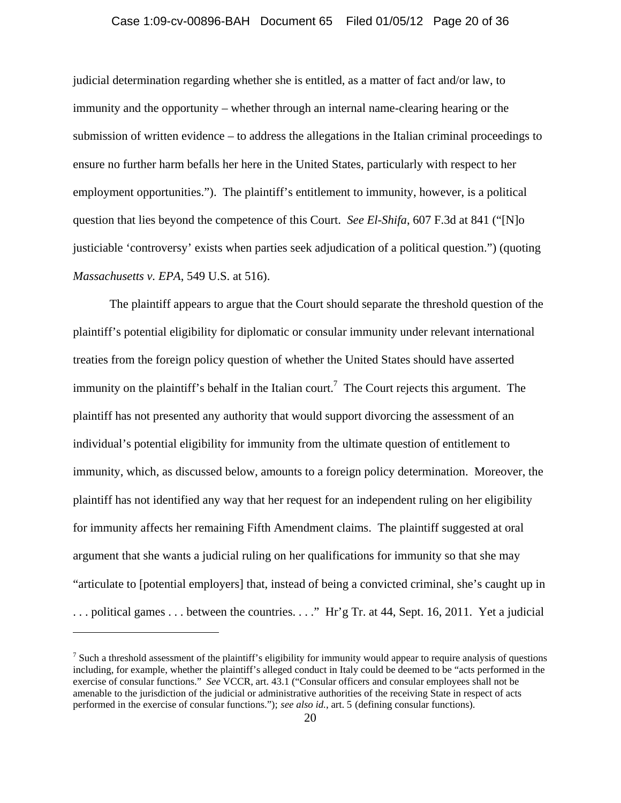### Case 1:09-cv-00896-BAH Document 65 Filed 01/05/12 Page 20 of 36

judicial determination regarding whether she is entitled, as a matter of fact and/or law, to immunity and the opportunity – whether through an internal name-clearing hearing or the submission of written evidence – to address the allegations in the Italian criminal proceedings to ensure no further harm befalls her here in the United States, particularly with respect to her employment opportunities."). The plaintiff's entitlement to immunity, however, is a political question that lies beyond the competence of this Court. *See El-Shifa*, 607 F.3d at 841 ("[N]o justiciable 'controversy' exists when parties seek adjudication of a political question.") (quoting *Massachusetts v. EPA*, 549 U.S. at 516).

The plaintiff appears to argue that the Court should separate the threshold question of the plaintiff's potential eligibility for diplomatic or consular immunity under relevant international treaties from the foreign policy question of whether the United States should have asserted immunity on the plaintiff's behalf in the Italian court.<sup>7</sup> The Court rejects this argument. The plaintiff has not presented any authority that would support divorcing the assessment of an individual's potential eligibility for immunity from the ultimate question of entitlement to immunity, which, as discussed below, amounts to a foreign policy determination. Moreover, the plaintiff has not identified any way that her request for an independent ruling on her eligibility for immunity affects her remaining Fifth Amendment claims. The plaintiff suggested at oral argument that she wants a judicial ruling on her qualifications for immunity so that she may "articulate to [potential employers] that, instead of being a convicted criminal, she's caught up in . . . political games . . . between the countries. . . ." Hr'g Tr. at 44, Sept. 16, 2011. Yet a judicial

 $<sup>7</sup>$  Such a threshold assessment of the plaintiff's eligibility for immunity would appear to require analysis of questions</sup> including, for example, whether the plaintiff's alleged conduct in Italy could be deemed to be "acts performed in the exercise of consular functions." *See* VCCR, art. 43.1 ("Consular officers and consular employees shall not be amenable to the jurisdiction of the judicial or administrative authorities of the receiving State in respect of acts performed in the exercise of consular functions."); *see also id.*, art. 5 (defining consular functions).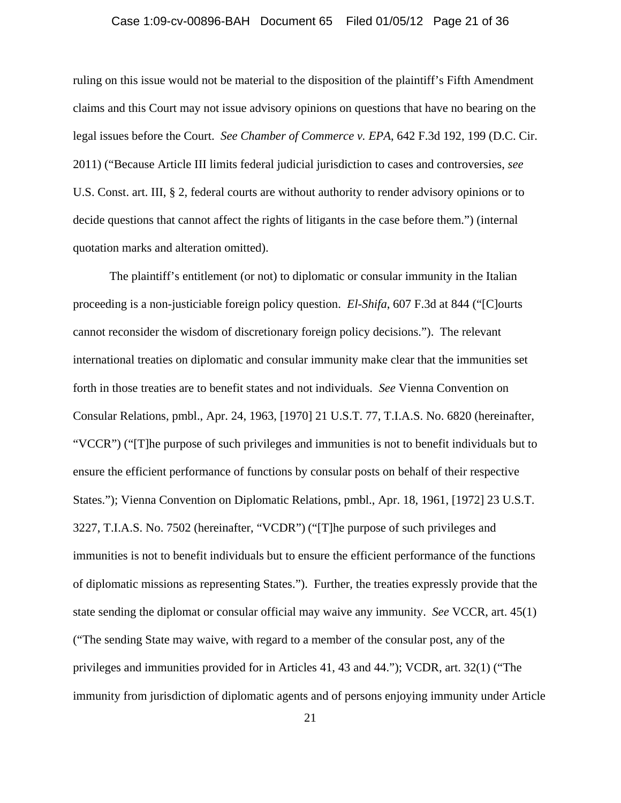### Case 1:09-cv-00896-BAH Document 65 Filed 01/05/12 Page 21 of 36

ruling on this issue would not be material to the disposition of the plaintiff's Fifth Amendment claims and this Court may not issue advisory opinions on questions that have no bearing on the legal issues before the Court. *See Chamber of Commerce v. EPA*, 642 F.3d 192, 199 (D.C. Cir. 2011) ("Because Article III limits federal judicial jurisdiction to cases and controversies, *see* U.S. Const. art. III, § 2, federal courts are without authority to render advisory opinions or to decide questions that cannot affect the rights of litigants in the case before them.") (internal quotation marks and alteration omitted).

The plaintiff's entitlement (or not) to diplomatic or consular immunity in the Italian proceeding is a non-justiciable foreign policy question. *El-Shifa*, 607 F.3d at 844 ("[C]ourts cannot reconsider the wisdom of discretionary foreign policy decisions."). The relevant international treaties on diplomatic and consular immunity make clear that the immunities set forth in those treaties are to benefit states and not individuals. *See* Vienna Convention on Consular Relations, pmbl., Apr. 24, 1963, [1970] 21 U.S.T. 77, T.I.A.S. No. 6820 (hereinafter, "VCCR") ("[T]he purpose of such privileges and immunities is not to benefit individuals but to ensure the efficient performance of functions by consular posts on behalf of their respective States."); Vienna Convention on Diplomatic Relations, pmbl., Apr. 18, 1961, [1972] 23 U.S.T. 3227, T.I.A.S. No. 7502 (hereinafter, "VCDR") ("[T]he purpose of such privileges and immunities is not to benefit individuals but to ensure the efficient performance of the functions of diplomatic missions as representing States."). Further, the treaties expressly provide that the state sending the diplomat or consular official may waive any immunity. *See* VCCR, art. 45(1) ("The sending State may waive, with regard to a member of the consular post, any of the privileges and immunities provided for in Articles 41, 43 and 44."); VCDR, art. 32(1) ("The immunity from jurisdiction of diplomatic agents and of persons enjoying immunity under Article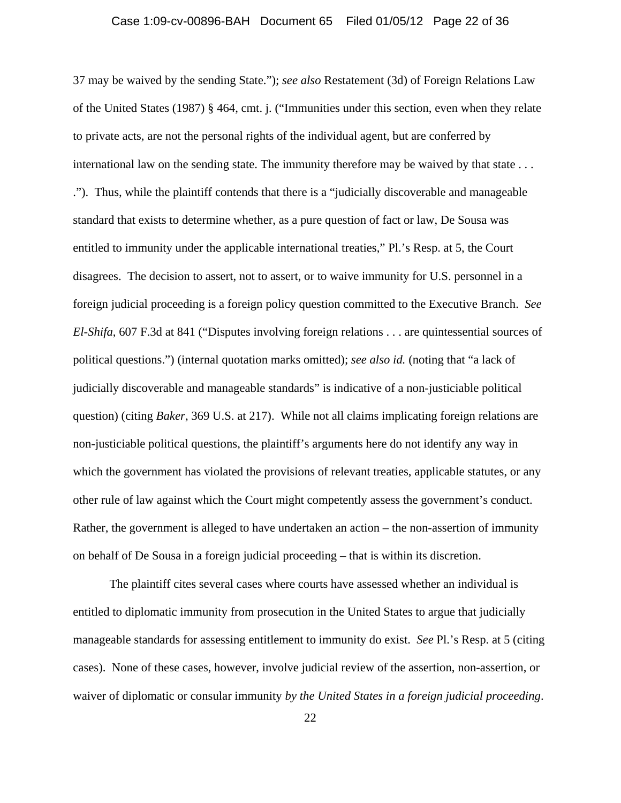#### Case 1:09-cv-00896-BAH Document 65 Filed 01/05/12 Page 22 of 36

37 may be waived by the sending State."); *see also* Restatement (3d) of Foreign Relations Law of the United States (1987) § 464, cmt. j. ("Immunities under this section, even when they relate to private acts, are not the personal rights of the individual agent, but are conferred by international law on the sending state. The immunity therefore may be waived by that state . . . ."). Thus, while the plaintiff contends that there is a "judicially discoverable and manageable standard that exists to determine whether, as a pure question of fact or law, De Sousa was entitled to immunity under the applicable international treaties," Pl.'s Resp. at 5, the Court disagrees. The decision to assert, not to assert, or to waive immunity for U.S. personnel in a foreign judicial proceeding is a foreign policy question committed to the Executive Branch. *See El-Shifa*, 607 F.3d at 841 ("Disputes involving foreign relations . . . are quintessential sources of political questions.") (internal quotation marks omitted); *see also id.* (noting that "a lack of judicially discoverable and manageable standards" is indicative of a non-justiciable political question) (citing *Baker*, 369 U.S. at 217). While not all claims implicating foreign relations are non-justiciable political questions, the plaintiff's arguments here do not identify any way in which the government has violated the provisions of relevant treaties, applicable statutes, or any other rule of law against which the Court might competently assess the government's conduct. Rather, the government is alleged to have undertaken an action – the non-assertion of immunity on behalf of De Sousa in a foreign judicial proceeding – that is within its discretion.

The plaintiff cites several cases where courts have assessed whether an individual is entitled to diplomatic immunity from prosecution in the United States to argue that judicially manageable standards for assessing entitlement to immunity do exist. *See* Pl.'s Resp. at 5 (citing cases). None of these cases, however, involve judicial review of the assertion, non-assertion, or waiver of diplomatic or consular immunity *by the United States in a foreign judicial proceeding*.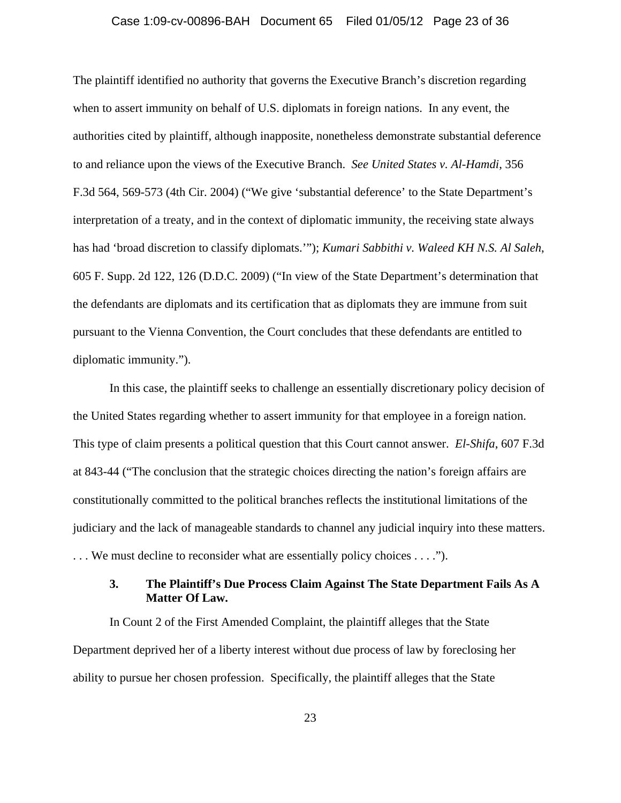#### Case 1:09-cv-00896-BAH Document 65 Filed 01/05/12 Page 23 of 36

The plaintiff identified no authority that governs the Executive Branch's discretion regarding when to assert immunity on behalf of U.S. diplomats in foreign nations. In any event, the authorities cited by plaintiff, although inapposite, nonetheless demonstrate substantial deference to and reliance upon the views of the Executive Branch. *See United States v. Al-Hamdi*, 356 F.3d 564, 569-573 (4th Cir. 2004) ("We give 'substantial deference' to the State Department's interpretation of a treaty, and in the context of diplomatic immunity, the receiving state always has had 'broad discretion to classify diplomats.'"); *Kumari Sabbithi v. Waleed KH N.S. Al Saleh*, 605 F. Supp. 2d 122, 126 (D.D.C. 2009) ("In view of the State Department's determination that the defendants are diplomats and its certification that as diplomats they are immune from suit pursuant to the Vienna Convention, the Court concludes that these defendants are entitled to diplomatic immunity.").

In this case, the plaintiff seeks to challenge an essentially discretionary policy decision of the United States regarding whether to assert immunity for that employee in a foreign nation. This type of claim presents a political question that this Court cannot answer. *El-Shifa*, 607 F.3d at 843-44 ("The conclusion that the strategic choices directing the nation's foreign affairs are constitutionally committed to the political branches reflects the institutional limitations of the judiciary and the lack of manageable standards to channel any judicial inquiry into these matters. . . . We must decline to reconsider what are essentially policy choices . . . .").

# **3. The Plaintiff's Due Process Claim Against The State Department Fails As A Matter Of Law.**

In Count 2 of the First Amended Complaint, the plaintiff alleges that the State Department deprived her of a liberty interest without due process of law by foreclosing her ability to pursue her chosen profession. Specifically, the plaintiff alleges that the State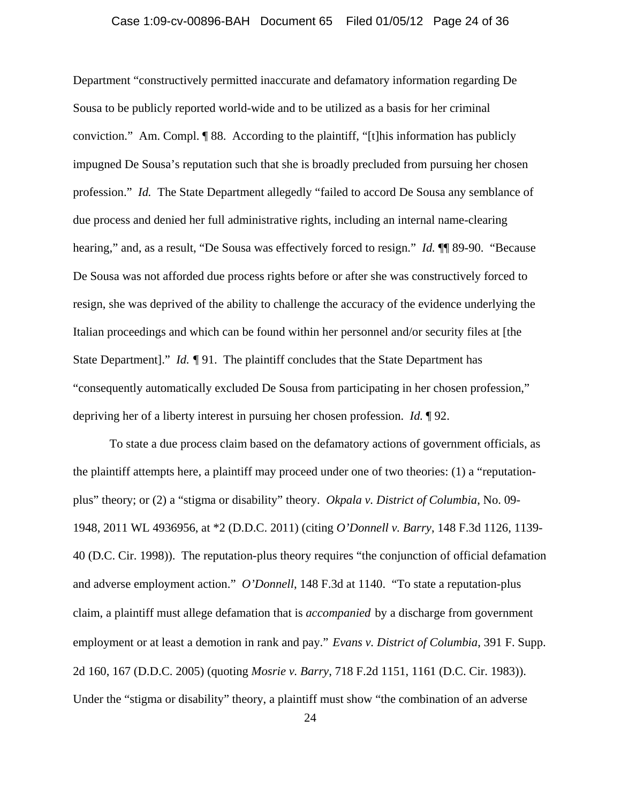### Case 1:09-cv-00896-BAH Document 65 Filed 01/05/12 Page 24 of 36

Department "constructively permitted inaccurate and defamatory information regarding De Sousa to be publicly reported world-wide and to be utilized as a basis for her criminal conviction." Am. Compl. ¶ 88. According to the plaintiff, "[t]his information has publicly impugned De Sousa's reputation such that she is broadly precluded from pursuing her chosen profession." *Id.* The State Department allegedly "failed to accord De Sousa any semblance of due process and denied her full administrative rights, including an internal name-clearing hearing," and, as a result, "De Sousa was effectively forced to resign." *Id.* ¶¶ 89-90. "Because De Sousa was not afforded due process rights before or after she was constructively forced to resign, she was deprived of the ability to challenge the accuracy of the evidence underlying the Italian proceedings and which can be found within her personnel and/or security files at [the State Department]." *Id. ¶* 91. The plaintiff concludes that the State Department has "consequently automatically excluded De Sousa from participating in her chosen profession," depriving her of a liberty interest in pursuing her chosen profession. *Id.* ¶ 92.

To state a due process claim based on the defamatory actions of government officials, as the plaintiff attempts here, a plaintiff may proceed under one of two theories: (1) a "reputationplus" theory; or (2) a "stigma or disability" theory. *Okpala v. District of Columbia*, No. 09- 1948, 2011 WL 4936956, at \*2 (D.D.C. 2011) (citing *O'Donnell v. Barry*, 148 F.3d 1126, 1139- 40 (D.C. Cir. 1998)). The reputation-plus theory requires "the conjunction of official defamation and adverse employment action." *O'Donnell*, 148 F.3d at 1140. "To state a reputation-plus claim, a plaintiff must allege defamation that is *accompanied* by a discharge from government employment or at least a demotion in rank and pay." *Evans v. District of Columbia*, 391 F. Supp. 2d 160, 167 (D.D.C. 2005) (quoting *Mosrie v. Barry*, 718 F.2d 1151, 1161 (D.C. Cir. 1983)). Under the "stigma or disability" theory, a plaintiff must show "the combination of an adverse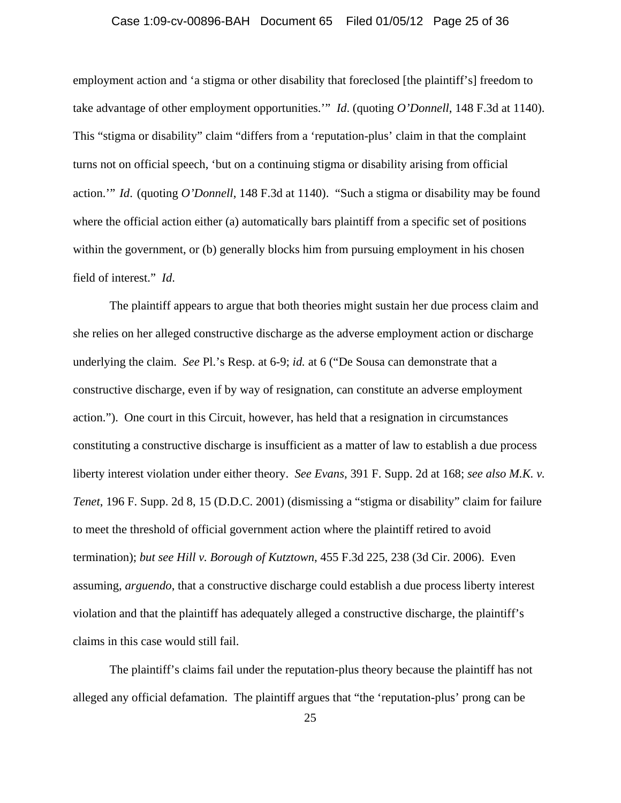### Case 1:09-cv-00896-BAH Document 65 Filed 01/05/12 Page 25 of 36

employment action and 'a stigma or other disability that foreclosed [the plaintiff's] freedom to take advantage of other employment opportunities.'" *Id*. (quoting *O'Donnell*, 148 F.3d at 1140). This "stigma or disability" claim "differs from a 'reputation-plus' claim in that the complaint turns not on official speech, 'but on a continuing stigma or disability arising from official action.'" *Id*. (quoting *O'Donnell*, 148 F.3d at 1140). "Such a stigma or disability may be found where the official action either (a) automatically bars plaintiff from a specific set of positions within the government, or (b) generally blocks him from pursuing employment in his chosen field of interest." *Id*.

The plaintiff appears to argue that both theories might sustain her due process claim and she relies on her alleged constructive discharge as the adverse employment action or discharge underlying the claim. *See* Pl.'s Resp. at 6-9; *id.* at 6 ("De Sousa can demonstrate that a constructive discharge, even if by way of resignation, can constitute an adverse employment action."). One court in this Circuit, however, has held that a resignation in circumstances constituting a constructive discharge is insufficient as a matter of law to establish a due process liberty interest violation under either theory. *See Evans*, 391 F. Supp. 2d at 168; *see also M.K. v. Tenet*, 196 F. Supp. 2d 8, 15 (D.D.C. 2001) (dismissing a "stigma or disability" claim for failure to meet the threshold of official government action where the plaintiff retired to avoid termination); *but see Hill v. Borough of Kutztown*, 455 F.3d 225, 238 (3d Cir. 2006). Even assuming, *arguendo*, that a constructive discharge could establish a due process liberty interest violation and that the plaintiff has adequately alleged a constructive discharge, the plaintiff's claims in this case would still fail.

The plaintiff's claims fail under the reputation-plus theory because the plaintiff has not alleged any official defamation. The plaintiff argues that "the 'reputation-plus' prong can be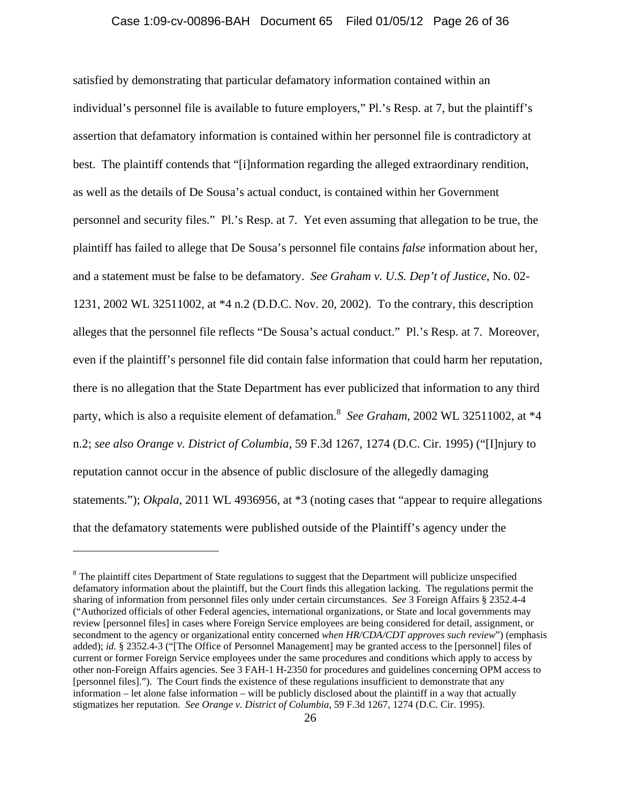satisfied by demonstrating that particular defamatory information contained within an individual's personnel file is available to future employers," Pl.'s Resp. at 7, but the plaintiff's assertion that defamatory information is contained within her personnel file is contradictory at best. The plaintiff contends that "[i]nformation regarding the alleged extraordinary rendition, as well as the details of De Sousa's actual conduct, is contained within her Government personnel and security files." Pl.'s Resp. at 7. Yet even assuming that allegation to be true, the plaintiff has failed to allege that De Sousa's personnel file contains *false* information about her, and a statement must be false to be defamatory. *See Graham v. U.S. Dep't of Justice*, No. 02- 1231, 2002 WL 32511002, at \*4 n.2 (D.D.C. Nov. 20, 2002). To the contrary, this description alleges that the personnel file reflects "De Sousa's actual conduct." Pl.'s Resp. at 7. Moreover, even if the plaintiff's personnel file did contain false information that could harm her reputation, there is no allegation that the State Department has ever publicized that information to any third party, which is also a requisite element of defamation.<sup>8</sup> See Graham, 2002 WL 32511002, at \*4 n.2; *see also Orange v. District of Columbia,* 59 F.3d 1267, 1274 (D.C. Cir. 1995) ("[I]njury to reputation cannot occur in the absence of public disclosure of the allegedly damaging statements*.*"); *Okpala*, 2011 WL 4936956, at \*3 (noting cases that "appear to require allegations that the defamatory statements were published outside of the Plaintiff's agency under the

<sup>&</sup>lt;sup>8</sup> The plaintiff cites Department of State regulations to suggest that the Department will publicize unspecified defamatory information about the plaintiff, but the Court finds this allegation lacking. The regulations permit the sharing of information from personnel files only under certain circumstances. *See* 3 Foreign Affairs § 2352.4-4 ("Authorized officials of other Federal agencies, international organizations, or State and local governments may review [personnel files] in cases where Foreign Service employees are being considered for detail, assignment, or secondment to the agency or organizational entity concerned *when HR/CDA/CDT approves such review*") (emphasis added); *id.* § 2352.4-3 ("[The Office of Personnel Management] may be granted access to the [personnel] files of current or former Foreign Service employees under the same procedures and conditions which apply to access by other non-Foreign Affairs agencies. See 3 FAH-1 H-2350 for procedures and guidelines concerning OPM access to [personnel files]."). The Court finds the existence of these regulations insufficient to demonstrate that any information – let alone false information – will be publicly disclosed about the plaintiff in a way that actually stigmatizes her reputation. *See Orange v. District of Columbia*, 59 F.3d 1267, 1274 (D.C. Cir. 1995).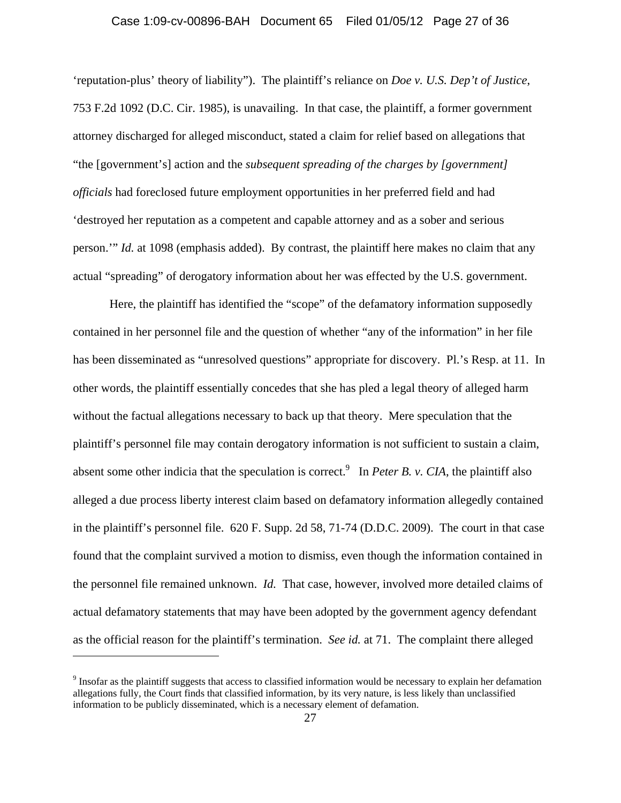### Case 1:09-cv-00896-BAH Document 65 Filed 01/05/12 Page 27 of 36

'reputation-plus' theory of liability"). The plaintiff's reliance on *Doe v. U.S. Dep't of Justice*, 753 F.2d 1092 (D.C. Cir. 1985), is unavailing. In that case, the plaintiff, a former government attorney discharged for alleged misconduct, stated a claim for relief based on allegations that "the [government's] action and the *subsequent spreading of the charges by [government] officials* had foreclosed future employment opportunities in her preferred field and had 'destroyed her reputation as a competent and capable attorney and as a sober and serious person.'" *Id.* at 1098 (emphasis added). By contrast, the plaintiff here makes no claim that any actual "spreading" of derogatory information about her was effected by the U.S. government.

Here, the plaintiff has identified the "scope" of the defamatory information supposedly contained in her personnel file and the question of whether "any of the information" in her file has been disseminated as "unresolved questions" appropriate for discovery. Pl.'s Resp. at 11. In other words, the plaintiff essentially concedes that she has pled a legal theory of alleged harm without the factual allegations necessary to back up that theory. Mere speculation that the plaintiff's personnel file may contain derogatory information is not sufficient to sustain a claim, absent some other indicia that the speculation is correct.<sup>9</sup> In *Peter B. v. CIA*, the plaintiff also alleged a due process liberty interest claim based on defamatory information allegedly contained in the plaintiff's personnel file. 620 F. Supp. 2d 58, 71-74 (D.D.C. 2009). The court in that case found that the complaint survived a motion to dismiss, even though the information contained in the personnel file remained unknown. *Id.* That case, however, involved more detailed claims of actual defamatory statements that may have been adopted by the government agency defendant as the official reason for the plaintiff's termination. *See id.* at 71. The complaint there alleged

 $9$  Insofar as the plaintiff suggests that access to classified information would be necessary to explain her defamation allegations fully, the Court finds that classified information, by its very nature, is less likely than unclassified information to be publicly disseminated, which is a necessary element of defamation.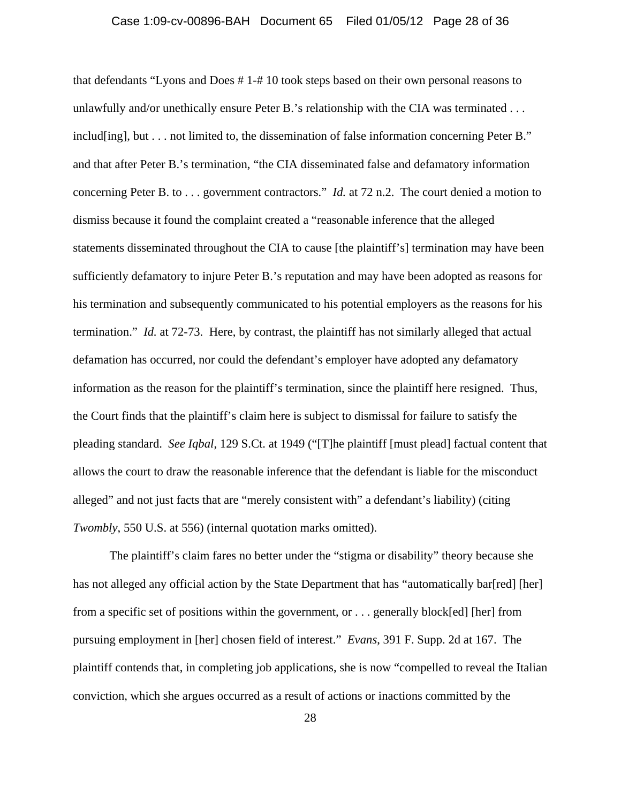#### Case 1:09-cv-00896-BAH Document 65 Filed 01/05/12 Page 28 of 36

that defendants "Lyons and Does # 1-# 10 took steps based on their own personal reasons to unlawfully and/or unethically ensure Peter B.'s relationship with the CIA was terminated . . . includ[ing], but . . . not limited to, the dissemination of false information concerning Peter B." and that after Peter B.'s termination, "the CIA disseminated false and defamatory information concerning Peter B. to . . . government contractors." *Id.* at 72 n.2. The court denied a motion to dismiss because it found the complaint created a "reasonable inference that the alleged statements disseminated throughout the CIA to cause [the plaintiff's] termination may have been sufficiently defamatory to injure Peter B.'s reputation and may have been adopted as reasons for his termination and subsequently communicated to his potential employers as the reasons for his termination." *Id.* at 72-73. Here, by contrast, the plaintiff has not similarly alleged that actual defamation has occurred, nor could the defendant's employer have adopted any defamatory information as the reason for the plaintiff's termination, since the plaintiff here resigned. Thus, the Court finds that the plaintiff's claim here is subject to dismissal for failure to satisfy the pleading standard. *See Iqbal*, 129 S.Ct. at 1949 ("[T]he plaintiff [must plead] factual content that allows the court to draw the reasonable inference that the defendant is liable for the misconduct alleged" and not just facts that are "merely consistent with" a defendant's liability) (citing *Twombly*, 550 U.S. at 556) (internal quotation marks omitted).

The plaintiff's claim fares no better under the "stigma or disability" theory because she has not alleged any official action by the State Department that has "automatically bar[red] [her] from a specific set of positions within the government, or . . . generally block[ed] [her] from pursuing employment in [her] chosen field of interest." *Evans*, 391 F. Supp. 2d at 167. The plaintiff contends that, in completing job applications, she is now "compelled to reveal the Italian conviction, which she argues occurred as a result of actions or inactions committed by the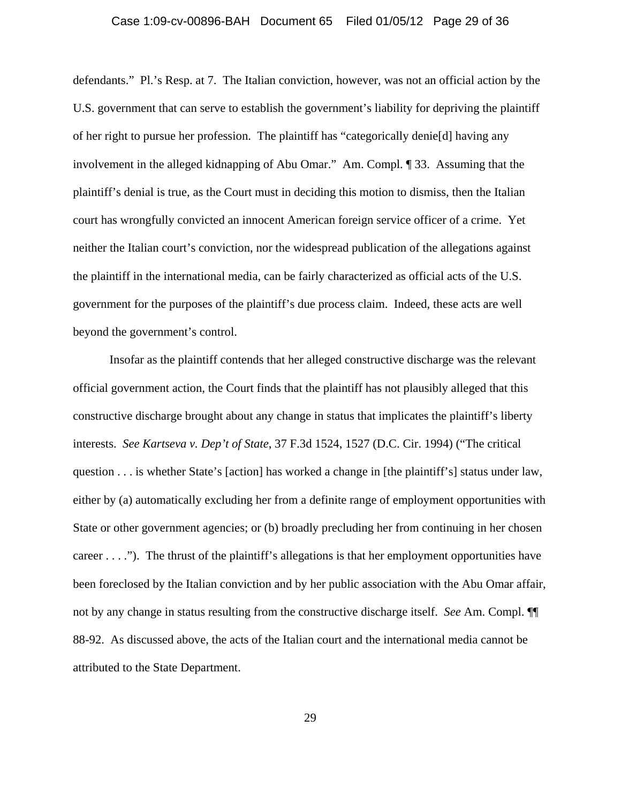#### Case 1:09-cv-00896-BAH Document 65 Filed 01/05/12 Page 29 of 36

defendants." Pl.'s Resp. at 7. The Italian conviction, however, was not an official action by the U.S. government that can serve to establish the government's liability for depriving the plaintiff of her right to pursue her profession. The plaintiff has "categorically denie[d] having any involvement in the alleged kidnapping of Abu Omar." Am. Compl. ¶ 33. Assuming that the plaintiff's denial is true, as the Court must in deciding this motion to dismiss, then the Italian court has wrongfully convicted an innocent American foreign service officer of a crime. Yet neither the Italian court's conviction, nor the widespread publication of the allegations against the plaintiff in the international media, can be fairly characterized as official acts of the U.S. government for the purposes of the plaintiff's due process claim. Indeed, these acts are well beyond the government's control.

Insofar as the plaintiff contends that her alleged constructive discharge was the relevant official government action, the Court finds that the plaintiff has not plausibly alleged that this constructive discharge brought about any change in status that implicates the plaintiff's liberty interests. *See Kartseva v. Dep't of State*, 37 F.3d 1524, 1527 (D.C. Cir. 1994) ("The critical question . . . is whether State's [action] has worked a change in [the plaintiff's] status under law, either by (a) automatically excluding her from a definite range of employment opportunities with State or other government agencies; or (b) broadly precluding her from continuing in her chosen career . . . ."). The thrust of the plaintiff's allegations is that her employment opportunities have been foreclosed by the Italian conviction and by her public association with the Abu Omar affair, not by any change in status resulting from the constructive discharge itself. *See* Am. Compl. ¶¶ 88-92. As discussed above, the acts of the Italian court and the international media cannot be attributed to the State Department.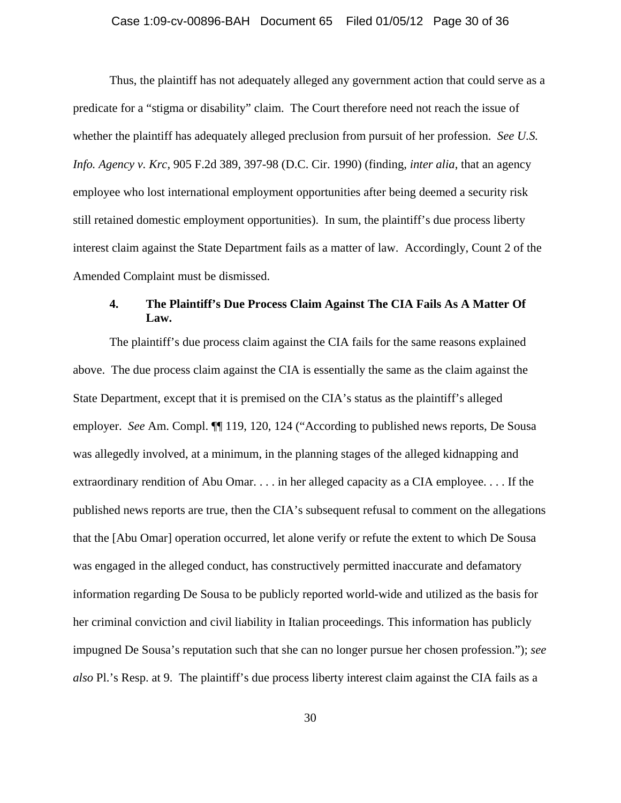### Case 1:09-cv-00896-BAH Document 65 Filed 01/05/12 Page 30 of 36

Thus, the plaintiff has not adequately alleged any government action that could serve as a predicate for a "stigma or disability" claim. The Court therefore need not reach the issue of whether the plaintiff has adequately alleged preclusion from pursuit of her profession. *See U.S. Info. Agency v. Krc*, 905 F.2d 389, 397-98 (D.C. Cir. 1990) (finding, *inter alia*, that an agency employee who lost international employment opportunities after being deemed a security risk still retained domestic employment opportunities). In sum, the plaintiff's due process liberty interest claim against the State Department fails as a matter of law. Accordingly, Count 2 of the Amended Complaint must be dismissed.

# **4. The Plaintiff's Due Process Claim Against The CIA Fails As A Matter Of Law.**

The plaintiff's due process claim against the CIA fails for the same reasons explained above. The due process claim against the CIA is essentially the same as the claim against the State Department, except that it is premised on the CIA's status as the plaintiff's alleged employer. *See* Am. Compl. ¶¶ 119, 120, 124 ("According to published news reports, De Sousa was allegedly involved, at a minimum, in the planning stages of the alleged kidnapping and extraordinary rendition of Abu Omar. . . . in her alleged capacity as a CIA employee. . . . If the published news reports are true, then the CIA's subsequent refusal to comment on the allegations that the [Abu Omar] operation occurred, let alone verify or refute the extent to which De Sousa was engaged in the alleged conduct, has constructively permitted inaccurate and defamatory information regarding De Sousa to be publicly reported world-wide and utilized as the basis for her criminal conviction and civil liability in Italian proceedings. This information has publicly impugned De Sousa's reputation such that she can no longer pursue her chosen profession."); *see also* Pl.'s Resp. at 9. The plaintiff's due process liberty interest claim against the CIA fails as a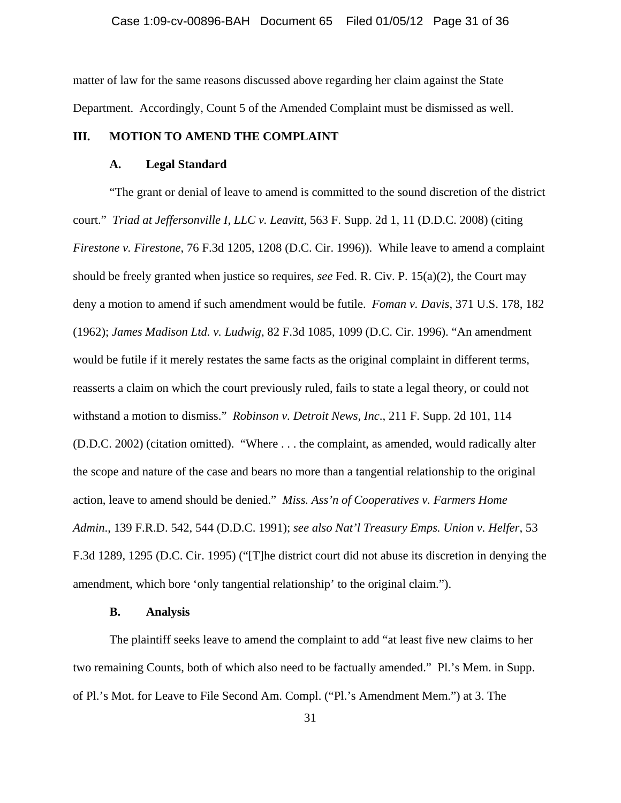matter of law for the same reasons discussed above regarding her claim against the State Department. Accordingly, Count 5 of the Amended Complaint must be dismissed as well.

### **III. MOTION TO AMEND THE COMPLAINT**

#### **A. Legal Standard**

"The grant or denial of leave to amend is committed to the sound discretion of the district court." *Triad at Jeffersonville I, LLC v. Leavitt*, 563 F. Supp. 2d 1, 11 (D.D.C. 2008) (citing *Firestone v. Firestone*, 76 F.3d 1205, 1208 (D.C. Cir. 1996)). While leave to amend a complaint should be freely granted when justice so requires, *see* Fed. R. Civ. P. 15(a)(2), the Court may deny a motion to amend if such amendment would be futile. *Foman v. Davis*, 371 U.S. 178, 182 (1962); *James Madison Ltd. v. Ludwig*, 82 F.3d 1085, 1099 (D.C. Cir. 1996). "An amendment would be futile if it merely restates the same facts as the original complaint in different terms, reasserts a claim on which the court previously ruled, fails to state a legal theory, or could not withstand a motion to dismiss." *Robinson v. Detroit News, Inc*., 211 F. Supp. 2d 101, 114 (D.D.C. 2002) (citation omitted). "Where . . . the complaint, as amended, would radically alter the scope and nature of the case and bears no more than a tangential relationship to the original action, leave to amend should be denied." *Miss. Ass'n of Cooperatives v. Farmers Home Admin*., 139 F.R.D. 542, 544 (D.D.C. 1991); *see also Nat'l Treasury Emps. Union v. Helfer*, 53 F.3d 1289, 1295 (D.C. Cir. 1995) ("[T]he district court did not abuse its discretion in denying the amendment, which bore 'only tangential relationship' to the original claim.").

### **B. Analysis**

The plaintiff seeks leave to amend the complaint to add "at least five new claims to her two remaining Counts, both of which also need to be factually amended." Pl.'s Mem. in Supp. of Pl.'s Mot. for Leave to File Second Am. Compl. ("Pl.'s Amendment Mem.") at 3. The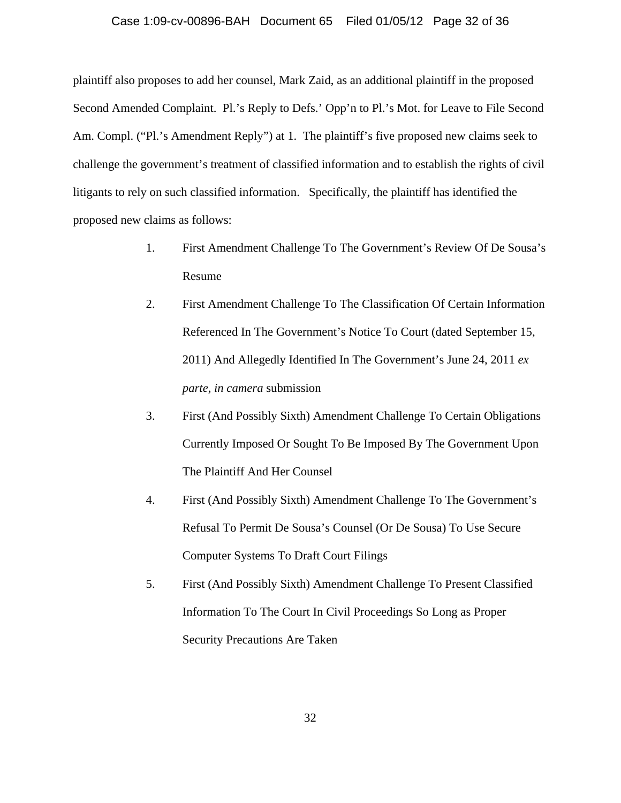#### Case 1:09-cv-00896-BAH Document 65 Filed 01/05/12 Page 32 of 36

plaintiff also proposes to add her counsel, Mark Zaid, as an additional plaintiff in the proposed Second Amended Complaint. Pl.'s Reply to Defs.' Opp'n to Pl.'s Mot. for Leave to File Second Am. Compl. ("Pl.'s Amendment Reply") at 1. The plaintiff's five proposed new claims seek to challenge the government's treatment of classified information and to establish the rights of civil litigants to rely on such classified information. Specifically, the plaintiff has identified the proposed new claims as follows:

- 1. First Amendment Challenge To The Government's Review Of De Sousa's Resume
- 2. First Amendment Challenge To The Classification Of Certain Information Referenced In The Government's Notice To Court (dated September 15, 2011) And Allegedly Identified In The Government's June 24, 2011 *ex parte, in camera* submission
- 3. First (And Possibly Sixth) Amendment Challenge To Certain Obligations Currently Imposed Or Sought To Be Imposed By The Government Upon The Plaintiff And Her Counsel
- 4. First (And Possibly Sixth) Amendment Challenge To The Government's Refusal To Permit De Sousa's Counsel (Or De Sousa) To Use Secure Computer Systems To Draft Court Filings
- 5. First (And Possibly Sixth) Amendment Challenge To Present Classified Information To The Court In Civil Proceedings So Long as Proper Security Precautions Are Taken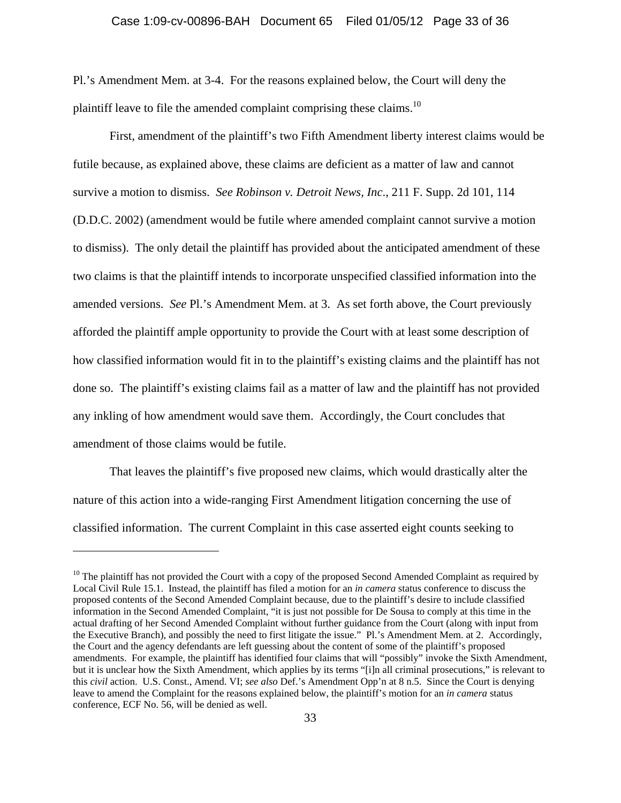#### Case 1:09-cv-00896-BAH Document 65 Filed 01/05/12 Page 33 of 36

Pl.'s Amendment Mem. at 3-4. For the reasons explained below, the Court will deny the plaintiff leave to file the amended complaint comprising these claims.<sup>10</sup>

First, amendment of the plaintiff's two Fifth Amendment liberty interest claims would be futile because, as explained above, these claims are deficient as a matter of law and cannot survive a motion to dismiss. *See Robinson v. Detroit News, Inc*., 211 F. Supp. 2d 101, 114 (D.D.C. 2002) (amendment would be futile where amended complaint cannot survive a motion to dismiss). The only detail the plaintiff has provided about the anticipated amendment of these two claims is that the plaintiff intends to incorporate unspecified classified information into the amended versions. *See* Pl.'s Amendment Mem. at 3. As set forth above, the Court previously afforded the plaintiff ample opportunity to provide the Court with at least some description of how classified information would fit in to the plaintiff's existing claims and the plaintiff has not done so. The plaintiff's existing claims fail as a matter of law and the plaintiff has not provided any inkling of how amendment would save them. Accordingly, the Court concludes that amendment of those claims would be futile.

That leaves the plaintiff's five proposed new claims, which would drastically alter the nature of this action into a wide-ranging First Amendment litigation concerning the use of classified information. The current Complaint in this case asserted eight counts seeking to

 $10$  The plaintiff has not provided the Court with a copy of the proposed Second Amended Complaint as required by Local Civil Rule 15.1. Instead, the plaintiff has filed a motion for an *in camera* status conference to discuss the proposed contents of the Second Amended Complaint because, due to the plaintiff's desire to include classified information in the Second Amended Complaint, "it is just not possible for De Sousa to comply at this time in the actual drafting of her Second Amended Complaint without further guidance from the Court (along with input from the Executive Branch), and possibly the need to first litigate the issue." Pl.'s Amendment Mem. at 2. Accordingly, the Court and the agency defendants are left guessing about the content of some of the plaintiff's proposed amendments. For example, the plaintiff has identified four claims that will "possibly" invoke the Sixth Amendment, but it is unclear how the Sixth Amendment, which applies by its terms "[i]n all criminal prosecutions," is relevant to this *civil* action. U.S. Const., Amend. VI; *see also* Def.'s Amendment Opp'n at 8 n.5. Since the Court is denying leave to amend the Complaint for the reasons explained below, the plaintiff's motion for an *in camera* status conference, ECF No. 56, will be denied as well.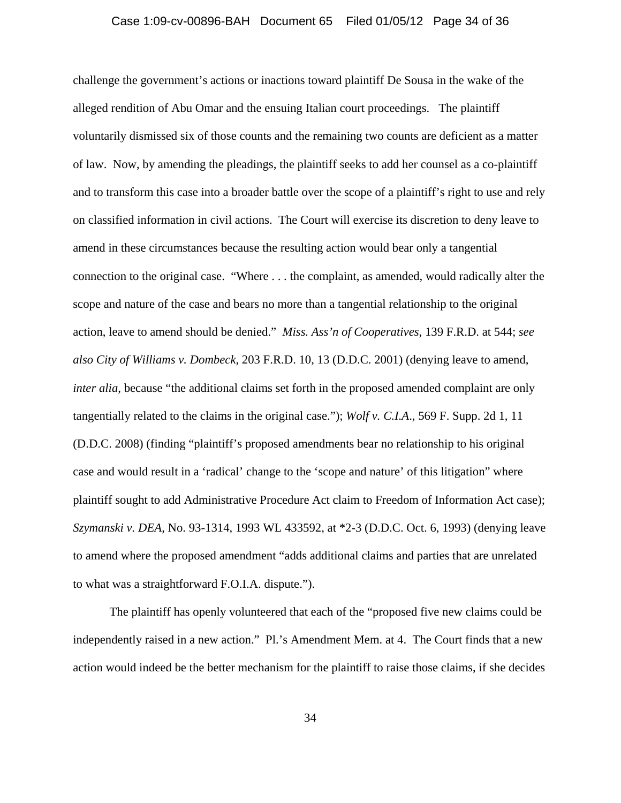### Case 1:09-cv-00896-BAH Document 65 Filed 01/05/12 Page 34 of 36

challenge the government's actions or inactions toward plaintiff De Sousa in the wake of the alleged rendition of Abu Omar and the ensuing Italian court proceedings. The plaintiff voluntarily dismissed six of those counts and the remaining two counts are deficient as a matter of law. Now, by amending the pleadings, the plaintiff seeks to add her counsel as a co-plaintiff and to transform this case into a broader battle over the scope of a plaintiff's right to use and rely on classified information in civil actions. The Court will exercise its discretion to deny leave to amend in these circumstances because the resulting action would bear only a tangential connection to the original case. "Where . . . the complaint, as amended, would radically alter the scope and nature of the case and bears no more than a tangential relationship to the original action, leave to amend should be denied." *Miss. Ass'n of Cooperatives*, 139 F.R.D. at 544; *see also City of Williams v. Dombeck*, 203 F.R.D. 10, 13 (D.D.C. 2001) (denying leave to amend, *inter alia*, because "the additional claims set forth in the proposed amended complaint are only tangentially related to the claims in the original case."); *Wolf v. C.I.A*., 569 F. Supp. 2d 1, 11 (D.D.C. 2008) (finding "plaintiff's proposed amendments bear no relationship to his original case and would result in a 'radical' change to the 'scope and nature' of this litigation" where plaintiff sought to add Administrative Procedure Act claim to Freedom of Information Act case); *Szymanski v. DEA*, No. 93-1314, 1993 WL 433592, at \*2-3 (D.D.C. Oct. 6, 1993) (denying leave to amend where the proposed amendment "adds additional claims and parties that are unrelated to what was a straightforward F.O.I.A. dispute.").

The plaintiff has openly volunteered that each of the "proposed five new claims could be independently raised in a new action." Pl.'s Amendment Mem. at 4. The Court finds that a new action would indeed be the better mechanism for the plaintiff to raise those claims, if she decides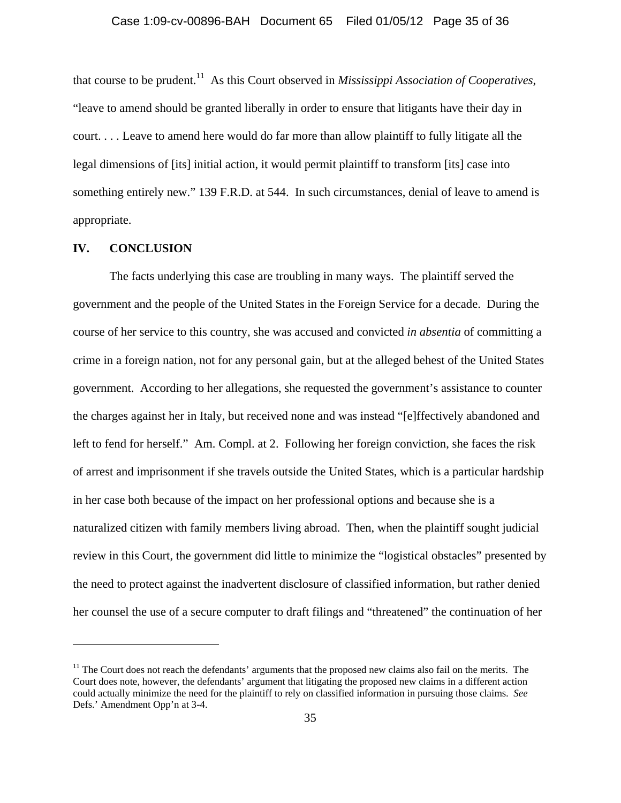that course to be prudent.11 As this Court observed in *Mississippi Association of Cooperatives*, "leave to amend should be granted liberally in order to ensure that litigants have their day in court. . . . Leave to amend here would do far more than allow plaintiff to fully litigate all the legal dimensions of [its] initial action, it would permit plaintiff to transform [its] case into something entirely new." 139 F.R.D. at 544. In such circumstances, denial of leave to amend is appropriate.

### **IV. CONCLUSION**

 $\overline{a}$ 

The facts underlying this case are troubling in many ways. The plaintiff served the government and the people of the United States in the Foreign Service for a decade. During the course of her service to this country, she was accused and convicted *in absentia* of committing a crime in a foreign nation, not for any personal gain, but at the alleged behest of the United States government. According to her allegations, she requested the government's assistance to counter the charges against her in Italy, but received none and was instead "[e]ffectively abandoned and left to fend for herself." Am. Compl. at 2. Following her foreign conviction, she faces the risk of arrest and imprisonment if she travels outside the United States, which is a particular hardship in her case both because of the impact on her professional options and because she is a naturalized citizen with family members living abroad. Then, when the plaintiff sought judicial review in this Court, the government did little to minimize the "logistical obstacles" presented by the need to protect against the inadvertent disclosure of classified information, but rather denied her counsel the use of a secure computer to draft filings and "threatened" the continuation of her

 $11$  The Court does not reach the defendants' arguments that the proposed new claims also fail on the merits. The Court does note, however, the defendants' argument that litigating the proposed new claims in a different action could actually minimize the need for the plaintiff to rely on classified information in pursuing those claims. *See*  Defs.' Amendment Opp'n at 3-4.